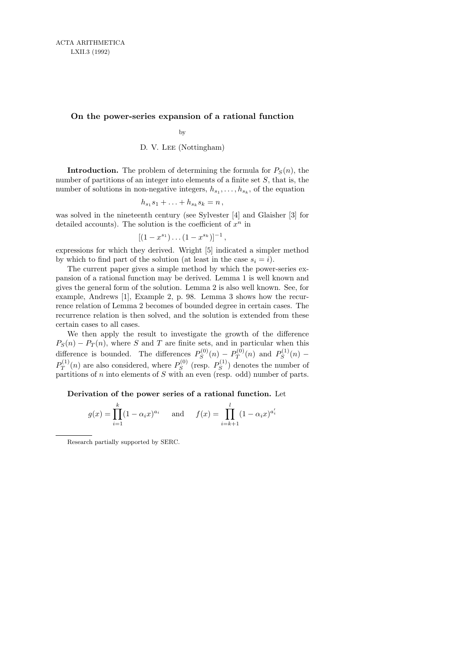## On the power-series expansion of a rational function

by

D. V. Lee (Nottingham)

**Introduction.** The problem of determining the formula for  $P_S(n)$ , the number of partitions of an integer into elements of a finite set  $S$ , that is, the number of solutions in non-negative integers,  $h_{s_1}, \ldots, h_{s_k}$ , of the equation

$$
h_{s_1}s_1+\ldots+h_{s_k}s_k=n\,,
$$

was solved in the nineteenth century (see Sylvester [4] and Glaisher [3] for detailed accounts). The solution is the coefficient of  $x^n$  in

$$
[(1-x^{s_1})\dots(1-x^{s_k})]^{-1},
$$

expressions for which they derived. Wright [5] indicated a simpler method by which to find part of the solution (at least in the case  $s_i = i$ ).

The current paper gives a simple method by which the power-series expansion of a rational function may be derived. Lemma 1 is well known and gives the general form of the solution. Lemma 2 is also well known. See, for example, Andrews [1], Example 2, p. 98. Lemma 3 shows how the recurrence relation of Lemma 2 becomes of bounded degree in certain cases. The recurrence relation is then solved, and the solution is extended from these certain cases to all cases.

We then apply the result to investigate the growth of the difference  $P_S(n) - P_T(n)$ , where S and T are finite sets, and in particular when this difference is bounded. The differences  $P_S^{(0)}$  $P^{(0)}_S(n) - P^{(0)}_T$  $P_T^{(0)}(n)$  and  $P_S^{(1)}$  $S^{(1)}(n)$  –  $P_T^{(1)}$  $T^{(1)}(n)$  are also considered, where  $P_S^{(0)}$  $P_{S}^{(0)}$  (resp.  $P_{S}^{(1)}$  $S^{(1)}$  denotes the number of partitions of  $n$  into elements of  $S$  with an even (resp. odd) number of parts.

Derivation of the power series of a rational function. Let

$$
g(x) = \prod_{i=1}^{k} (1 - \alpha_i x)^{a_i}
$$
 and  $f(x) = \prod_{i=k+1}^{l} (1 - \alpha_i x)^{a'_i}$ 

Research partially supported by SERC.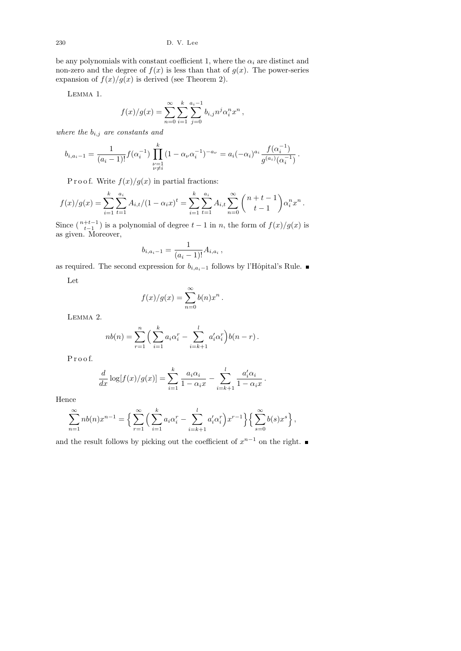be any polynomials with constant coefficient 1, where the  $\alpha_i$  are distinct and non-zero and the degree of  $f(x)$  is less than that of  $g(x)$ . The power-series expansion of  $f(x)/g(x)$  is derived (see Theorem 2).

Lemma 1.

$$
f(x)/g(x) = \sum_{n=0}^{\infty} \sum_{i=1}^{k} \sum_{j=0}^{a_i-1} b_{i,j} n^j \alpha_i^n x^n,
$$

where the  $b_{i,j}$  are constants and

$$
b_{i,a_i-1} = \frac{1}{(a_i-1)!} f(\alpha_i^{-1}) \prod_{\substack{\nu=1 \\ \nu \neq i}}^k (1 - \alpha_\nu \alpha_i^{-1})^{-a_\nu} = a_i (-\alpha_i)^{a_i} \frac{f(\alpha_i^{-1})}{g^{(a_i)}(\alpha_i^{-1})}.
$$

P r o o f. Write  $f(x)/g(x)$  in partial fractions:

$$
f(x)/g(x) = \sum_{i=1}^k \sum_{t=1}^{a_i} A_{i,t}/(1 - \alpha_i x)^t = \sum_{i=1}^k \sum_{t=1}^{a_i} A_{i,t} \sum_{n=0}^{\infty} {n+t-1 \choose t-1} \alpha_i^n x^n.
$$

Since  $\binom{n+t-1}{t-1}$  is a polynomial of degree  $t-1$  in n, the form of  $f(x)/g(x)$  is as given. Moreover,

$$
b_{i,a_i-1} = \frac{1}{(a_i-1)!} A_{i,a_i} \,,
$$

as required. The second expression for  $b_{i,a_i-1}$  follows by l'Hôpital's Rule. ■

Let

$$
f(x)/g(x) = \sum_{n=0}^{\infty} b(n)x^n.
$$

Lemma 2.

$$
nb(n) = \sum_{r=1}^{n} \left( \sum_{i=1}^{k} a_i \alpha_i^r - \sum_{i=k+1}^{l} a_i' \alpha_i^r \right) b(n-r).
$$

P r o o f.

$$
\frac{d}{dx}\log[f(x)/g(x)] = \sum_{i=1}^{k} \frac{a_i \alpha_i}{1 - \alpha_i x} - \sum_{i=k+1}^{l} \frac{a'_i \alpha_i}{1 - \alpha_i x}
$$

.

Hence

$$
\sum_{n=1}^{\infty} nb(n)x^{n-1} = \left\{ \sum_{r=1}^{\infty} \left( \sum_{i=1}^{k} a_i \alpha_i^r - \sum_{i=k+1}^{l} a_i^{\prime} \alpha_i^r \right) x^{r-1} \right\} \left\{ \sum_{s=0}^{\infty} b(s)x^s \right\},\,
$$

and the result follows by picking out the coefficient of  $x^{n-1}$  on the right.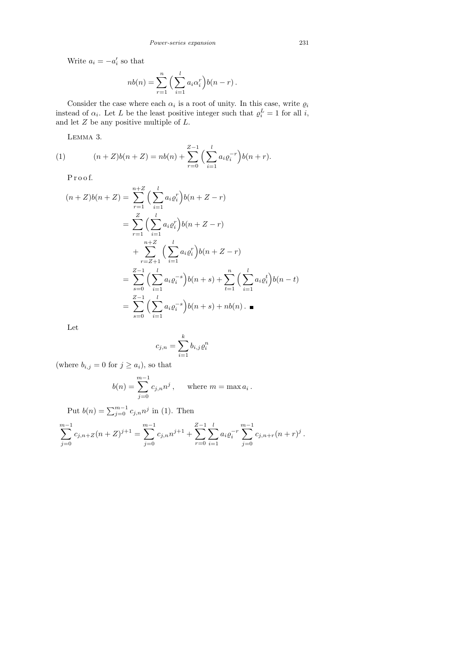Write  $a_i = -a'_i$  so that

$$
nb(n) = \sum_{r=1}^{n} \left(\sum_{i=1}^{l} a_i \alpha_i^r\right) b(n-r).
$$

Consider the case where each  $\alpha_i$  is a root of unity. In this case, write  $\varrho_i$ instead of  $\alpha_i$ . Let L be the least positive integer such that  $\rho_i^L = 1$  for all i, and let  $Z$  be any positive multiple of  $L$ .

Lemma 3.

(1) 
$$
(n+Z)b(n+Z) = nb(n) + \sum_{r=0}^{Z-1} \left(\sum_{i=1}^{l} a_i \varrho_i^{-r}\right) b(n+r).
$$

P r o o f.

$$
(n+Z)b(n+Z) = \sum_{r=1}^{n+Z} \left(\sum_{i=1}^{l} a_i \varrho_i^r\right) b(n+Z-r)
$$
  
= 
$$
\sum_{r=1}^{Z} \left(\sum_{i=1}^{l} a_i \varrho_i^r\right) b(n+Z-r)
$$
  
+ 
$$
\sum_{r=Z+1}^{n+Z} \left(\sum_{i=1}^{l} a_i \varrho_i^r\right) b(n+Z-r)
$$
  
= 
$$
\sum_{s=0}^{Z-1} \left(\sum_{i=1}^{l} a_i \varrho_i^{-s}\right) b(n+s) + \sum_{t=1}^{n} \left(\sum_{i=1}^{l} a_i \varrho_i^t\right) b(n-t)
$$
  
= 
$$
\sum_{s=0}^{Z-1} \left(\sum_{i=1}^{l} a_i \varrho_i^{-s}\right) b(n+s) + nb(n) . \blacksquare
$$

Let

$$
c_{j,n} = \sum_{i=1}^{k} b_{i,j} \varrho_i^n
$$

(where  $b_{i,j} = 0$  for  $j \geq a_i$ ), so that

$$
b(n) = \sum_{j=0}^{m-1} c_{j,n} n^j
$$
, where  $m = \max a_i$ .

Put  $b(n) = \sum_{j=0}^{m-1} c_{j,n} n^j$  in (1). Then

$$
\sum_{j=0}^{m-1} c_{j,n+Z}(n+Z)^{j+1} = \sum_{j=0}^{m-1} c_{j,n} n^{j+1} + \sum_{r=0}^{Z-1} \sum_{i=1}^{l} a_i \varrho_i^{-r} \sum_{j=0}^{m-1} c_{j,n+r}(n+r)^j.
$$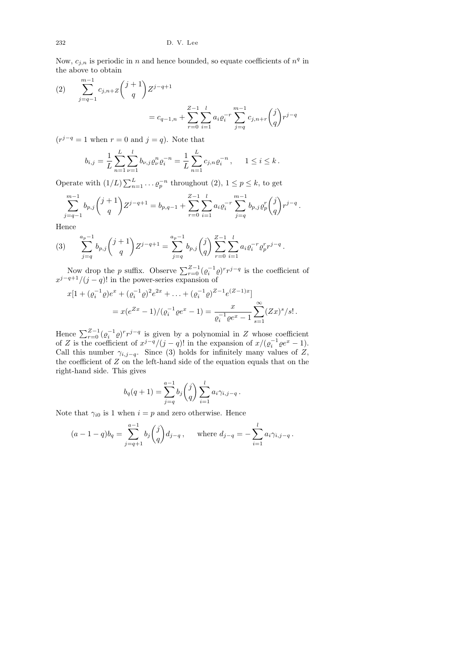Now,  $c_{j,n}$  is periodic in n and hence bounded, so equate coefficients of  $n<sup>q</sup>$  in the above to obtain

(2) 
$$
\sum_{j=q-1}^{m-1} c_{j,n+Z} {j+1 \choose q} Z^{j-q+1}
$$

$$
= c_{q-1,n} + \sum_{r=0}^{Z-1} \sum_{i=1}^{l} a_i \varrho_i^{-r} \sum_{j=q}^{m-1} c_{j,n+r} {j \choose q} r^{j-q}
$$

 $(r^{j-q} = 1$  when  $r = 0$  and  $j = q$ ). Note that

$$
b_{i,j} = \frac{1}{L} \sum_{n=1}^{L} \sum_{\nu=1}^{l} b_{\nu,j} \varrho_{\nu}^{n} \varrho_{i}^{-n} = \frac{1}{L} \sum_{n=1}^{L} c_{j,n} \varrho_{i}^{-n}, \quad 1 \leq i \leq k.
$$

Operate with  $(1/L) \sum_{n=1}^{L} \ldots \varrho_p^{-n}$  throughout  $(2), 1 \le p \le k$ , to get

$$
\sum_{j=q-1}^{m-1} b_{p,j} {\binom{j+1}{q}} Z^{j-q+1} = b_{p,q-1} + \sum_{r=0}^{Z-1} \sum_{i=1}^{l} a_i \varrho_i^{-r} \sum_{j=q}^{m-1} b_{p,j} \varrho_p^r {\binom{j}{q}} r^{j-q}.
$$

Hence

(3) 
$$
\sum_{j=q}^{a_p-1} b_{p,j} {j+1 \choose q} Z^{j-q+1} = \sum_{j=q}^{a_p-1} b_{p,j} {j \choose q} \sum_{r=0}^{Z-1} \sum_{i=1}^l a_i \varrho_i^{-r} \varrho_p^r r^{j-q}.
$$

Now drop the p suffix. Observe  $\sum_{r=0}^{Z-1} (\varrho_i^{-1} \varrho)^r r^{j-q}$  is the coefficient of  $x^{j-q+1}/(j-q)!$  in the power-series expansion of

$$
x[1 + (\varrho_i^{-1}\varrho)e^x + (\varrho_i^{-1}\varrho)^2 e^{2x} + \dots + (\varrho_i^{-1}\varrho)^{Z-1} e^{(Z-1)x}]
$$
  
=  $x(e^{Zx} - 1) / (\varrho_i^{-1}\varrho e^x - 1) = \frac{x}{\varrho_i^{-1}\varrho e^x - 1} \sum_{s=1}^{\infty} (Zx)^s / s!.$ 

Hence  $\sum_{r=0}^{Z-1} (\varrho_i^{-1} \varrho)^r r^{j-q}$  is given by a polynomial in Z whose coefficient of Z is the coefficient of  $x^{j-q}/(j-q)!$  in the expansion of  $x/(\varrho_i^{-1}\varrho e^x - 1)$ . Call this number  $\gamma_{i,j-q}$ . Since (3) holds for infinitely many values of Z, the coefficient of Z on the left-hand side of the equation equals that on the right-hand side. This gives

$$
b_q(q+1) = \sum_{j=q}^{a-1} b_j \binom{j}{q} \sum_{i=1}^l a_i \gamma_{i,j-q}.
$$

Note that  $\gamma_{i0}$  is 1 when  $i = p$  and zero otherwise. Hence

$$
(a-1-q)b_q = \sum_{j=q+1}^{a-1} b_j \binom{j}{q} d_{j-q}
$$
, where  $d_{j-q} = -\sum_{i=1}^{l} a_i \gamma_{i,j-q}$ .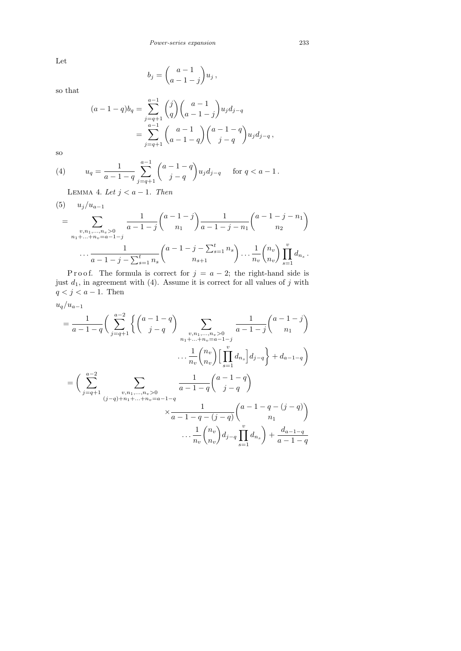Let

$$
b_j = \binom{a-1}{a-1-j} u_j,
$$

so that

$$
(a-1-q)b_q = \sum_{j=q+1}^{a-1} {j \choose q} {a-1 \choose a-1-j} u_j d_{j-q}
$$
  
= 
$$
\sum_{j=q+1}^{a-1} {a-1 \choose a-1-q} {a-1-q \choose j-q} u_j d_{j-q},
$$

so

(4) 
$$
u_q = \frac{1}{a-1-q} \sum_{j=q+1}^{a-1} {a-1-q \choose j-q} u_j d_{j-q} \quad \text{for } q < a-1.
$$

LEMMA 4. Let  $j < a - 1$ . Then

(5) 
$$
u_j/u_{a-1}
$$
  
\n
$$
= \sum_{\substack{v, n_1, \dots, n_v > 0 \\ n_1 + \dots + n_v = a-1 - j}} \frac{1}{a-1-j} {a-1-j \choose n_1} \frac{1}{a-1-j-n_1} {a-1-j-n_1 \choose n_2}
$$
\n
$$
\cdots \frac{1}{a-1-j-\sum_{s=1}^t n_s} {a-1-j-\sum_{s=1}^t n_s \choose n_{s+1}} \cdots \frac{1}{n_v} {n_v \choose n_v} \prod_{s=1}^v d_{n_s}.
$$

P r o o f. The formula is correct for  $j = a - 2$ ; the right-hand side is just  $d_1$ , in agreement with (4). Assume it is correct for all values of j with  $q < j < a - 1$ . Then

$$
u_q/u_{a-1}
$$

$$
= \frac{1}{a-1-q} \left( \sum_{j=q+1}^{a-2} \left\{ \binom{a-1-q}{j-q} \sum_{\substack{v,n_1,\dots,n_v>0 \\ n_1+\dots+n_v=a-1-j}} \frac{1}{a-1-j} \binom{a-1-j}{n_1} \right\}
$$

$$
\cdots \frac{1}{n_v} \binom{n_v}{n_v} \left[ \prod_{s=1}^{v} d_{n_s} \right] d_{j-q} \right\} + d_{a-1-q}
$$

$$
= \left( \sum_{j=q+1}^{a-2} \sum_{\substack{v,n_1,\dots,n_v>0 \\ (j-q)+n_1+\dots+n_v=a-1-q}} \frac{1}{a-1-q} \binom{a-1-q}{j-q} \right)
$$

$$
\cdots \frac{1}{n_v} \binom{n_v}{n_v} d_{j-q} \prod_{s=1}^{v} d_{n_s} + \frac{d_{a-1-q}}{a-1-q}
$$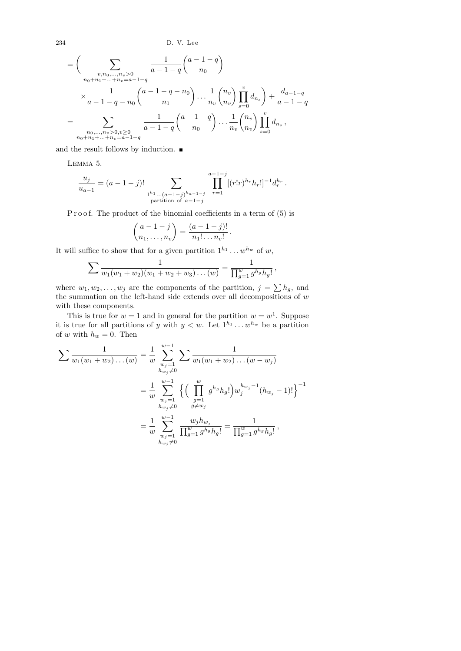234 D. V. Lee

$$
= \left(\sum_{\substack{v,n_0,\dots,n_v>0\\n_0+n_1+\dots+n_v=a-1-q}} \frac{1}{a-1-q} {a-1-q \choose n_0} \right)
$$
  

$$
\times \frac{1}{a-1-q-n_0} {a-1-q-n_0 \choose n_1} \cdots \frac{1}{n_v} {n_v \choose n_v} \prod_{s=0}^v d_{n_s} + \frac{d_{a-1-q}}{a-1-q}
$$
  

$$
= \sum_{\substack{n_0,\dots,n_v>0,v\ge 0\\n_0+n_1+\dots+n_v=a-1-q}} \frac{1}{a-1-q} {a-1-q \choose n_0} \cdots \frac{1}{n_v} {n_v \choose n_v} \prod_{s=0}^v d_{n_s},
$$

and the result follows by induction.  $\blacksquare$ 

Lemma 5.

$$
\frac{u_j}{u_{a-1}} = (a-1-j)! \sum_{\substack{1^{h_1} \dots (a-1-j)^{h_{a-1-j}} \\ \text{partition of } a-1-j}} \prod_{r=1}^{a-1-j} [(r!r)^{h_r} h_r!]^{-1} d_r^{h_r}.
$$

P r o o f. The product of the binomial coefficients in a term of  $(5)$  is

$$
\binom{a-1-j}{n_1,\ldots,n_v}=\frac{(a-1-j)!}{n_1!\ldots n_v!}.
$$

It will suffice to show that for a given partition  $1^{h_1} \dots w^{h_w}$  of w,

$$
\sum \frac{1}{w_1(w_1+w_2)(w_1+w_2+w_3)\dots(w)}=\frac{1}{\prod_{g=1}^w g^{h_g}h_g!}\,,
$$

where  $w_1, w_2, \ldots, w_j$  are the components of the partition,  $j = \sum h_g$ , and the summation on the left-hand side extends over all decompositions of w with these components.

This is true for  $w = 1$  and in general for the partition  $w = w^1$ . Suppose it is true for all partitions of y with  $y < w$ . Let  $1^{h_1} \dots w^{h_w}$  be a partition of w with  $h_w = 0$ . Then

$$
\sum \frac{1}{w_1(w_1 + w_2) \dots (w)} = \frac{1}{w} \sum_{\substack{w_j = 1 \\ h_{w_j} \neq 0}}^{w-1} \sum \frac{1}{w_1(w_1 + w_2) \dots (w - w_j)}
$$
  
= 
$$
\frac{1}{w} \sum_{\substack{w_j = 1 \\ h_{w_j} \neq 0}}^{w-1} \left\{ \left( \prod_{\substack{g=1 \\ g \neq w_j}}^{w} g^{h_g} h_g! \right) w_j^{h_{w_j} - 1} (h_{w_j} - 1)! \right\}^{-1}
$$
  
= 
$$
\frac{1}{w} \sum_{\substack{w_j = 1 \\ w_j \neq 0}}^{w-1} \frac{w_j h_{w_j}}{\prod_{g=1}^w g^{h_g} h_g!} = \frac{1}{\prod_{g=1}^w g^{h_g} h_g!},
$$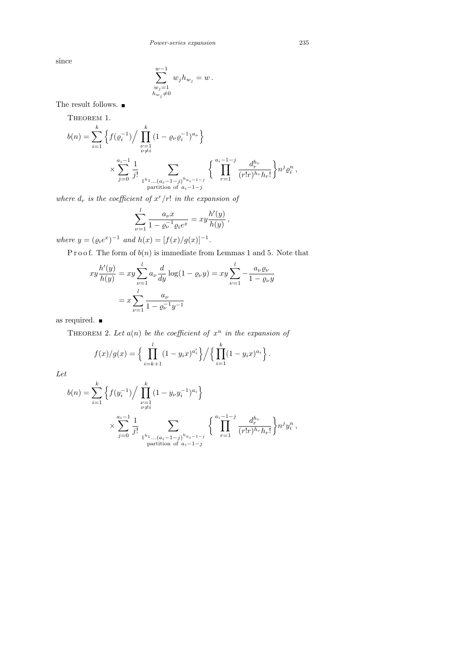since

$$
\sum_{\substack{w_j=1\\w_j\neq 0}}^{w-1} w_j h_{w_j} = w.
$$

The result follows.  $\blacksquare$ 

THEOREM 1.

$$
b(n) = \sum_{i=1}^{k} \left\{ f(\varrho_i^{-1}) / \prod_{\substack{\nu=1 \\ \nu \neq i}}^{k} (1 - \varrho_{\nu} \varrho_i^{-1})^{a_{\nu}} \right\}
$$
  
 
$$
\times \sum_{j=0}^{a_i-1} \frac{1}{j!} \sum_{\substack{1^{h_1} \dots (a_i-1-j)^{h_{a_i-1-j}} \\ \text{partition of } a_i-1-j}} \left\{ \prod_{r=1}^{a_i-1-j} \frac{d_r^{h_r}}{(r!r)^{h_r} h_r!} \right\} n^j \varrho_i^n,
$$

where  $d_r$  is the coefficient of  $x^r/r!$  in the expansion of

$$
\sum_{\nu=1}^{l} \frac{a_{\nu} x}{1 - \varrho_{\nu}^{-1} \varrho_{i} e^{x}} = xy \frac{h'(y)}{h(y)},
$$

where  $y = (\varrho_i e^x)^{-1}$  and  $h(x) = [f(x)/g(x)]^{-1}$ .

P r o o f. The form of  $b(n)$  is immediate from Lemmas 1 and 5. Note that

$$
xy\frac{h'(y)}{h(y)} = xy\sum_{\nu=1}^{l} a_{\nu} \frac{d}{dy} \log(1 - \varrho_{\nu}y) = xy\sum_{\nu=1}^{l} -\frac{a_{\nu}\varrho_{\nu}}{1 - \varrho_{\nu}y}
$$

$$
= x\sum_{\nu=1}^{l} \frac{a_{\nu}}{1 - \varrho_{\nu}^{-1}y^{-1}}
$$

as required.

THEOREM 2. Let  $a(n)$  be the coefficient of  $x^n$  in the expansion of

$$
f(x)/g(x) = \left\{ \prod_{i=k+1}^{l} (1 - y_i x)^{a_i'} \right\} / \left\{ \prod_{i=1}^{k} (1 - y_i x)^{a_i} \right\}.
$$

Let

$$
b(n) = \sum_{i=1}^{k} \left\{ f(y_i^{-1}) / \prod_{\substack{\nu=1 \\ \nu \neq i}}^{k} (1 - y_{\nu} y_i^{-1})^{a_i} \right\}
$$
  
 
$$
\times \sum_{j=0}^{a_i-1} \frac{1}{j!} \sum_{\substack{1^{h_1} \dots (a_i-1-j)^{h_{a_i-1-j}} \\ \text{partition of } a_i-1-j}} \left\{ \prod_{r=1}^{a_i-1-j} \frac{d_r^{h_r}}{(r!r)^{h_r} h_r!} \right\} n^j y_i^n,
$$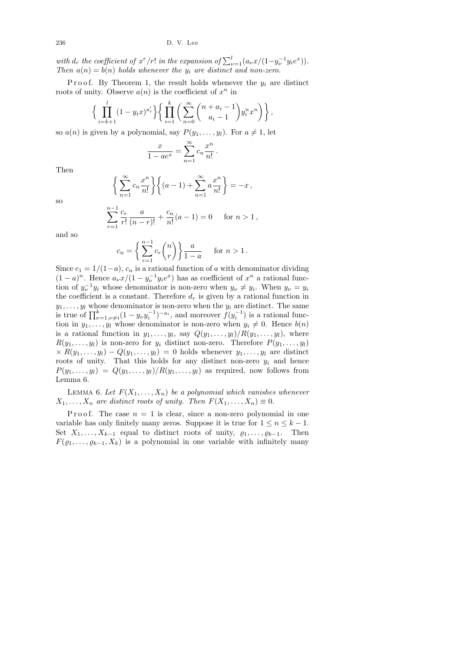with  $d_r$  the coefficient of  $x^r/r!$  in the expansion of  $\sum_{\nu=1}^l (a_\nu x/(1-y_\nu^{-1}y_i e^x)).$ Then  $a(n) = b(n)$  holds whenever the  $y_i$  are distinct and non-zero.

Proof. By Theorem 1, the result holds whenever the  $y_i$  are distinct roots of unity. Observe  $a(n)$  is the coefficient of  $x^n$  in

$$
\left\{\prod_{i=k+1}^{l} (1-y_i x)^{a_i'}\right\} \left\{\prod_{i=1}^{k} \left(\sum_{n=0}^{\infty} {n+a_i-1 \choose a_i-1} y_i^n x^n\right)\right\},\
$$

so  $a(n)$  is given by a polynomial, say  $P(y_1, \ldots, y_l)$ . For  $a \neq 1$ , let

$$
\frac{x}{1 - ae^x} = \sum_{n=1}^{\infty} c_n \frac{x^n}{n!} .
$$

Then

$$
\left\{\sum_{n=1}^{\infty} c_n \frac{x^n}{n!}\right\} \left\{ (a-1) + \sum_{n=1}^{\infty} a \frac{x^n}{n!} \right\} = -x,
$$

so

$$
\sum_{r=1}^{n-1} \frac{c_r}{r!} \frac{a}{(n-r)!} + \frac{c_n}{n!} (a-1) = 0 \quad \text{for } n > 1,
$$

and so

$$
c_n = \left\{ \sum_{r=1}^{n-1} c_r \binom{n}{r} \right\} \frac{a}{1-a} \quad \text{for } n > 1.
$$

Since  $c_1 = 1/(1-a)$ ,  $c_n$  is a rational function of a with denominator dividing  $(1-a)^n$ . Hence  $a_{\nu}x/(1-y_{\nu}^{-1}y_{i}e^x)$  has as coefficient of  $x^n$  a rational function of  $y_{\nu}^{-1}y_i$  whose denominator is non-zero when  $y_{\nu} \neq y_i$ . When  $y_{\nu} = y_i$ the coefficient is a constant. Therefore  $d_r$  is given by a rational function in  $y_1, \ldots, y_l$  whose denominator is non-zero when the  $y_i$  are distinct. The same is true of  $\prod_{\nu=1,\nu\neq i}^{k} (1-y_{\nu}y_i^{-1})^{-a_i}$ , and moreover  $f(y_i^{-1})$  is a rational function in  $y_1, \ldots, y_l$  whose denominator is non-zero when  $y_i \neq 0$ . Hence  $b(n)$ is a rational function in  $y_1, \ldots, y_l$ , say  $Q(y_1, \ldots, y_l) / R(y_1, \ldots, y_l)$ , where  $R(y_1, \ldots, y_l)$  is non-zero for  $y_i$  distinct non-zero. Therefore  $P(y_1, \ldots, y_l)$  $x \times R(y_1, \ldots, y_l) - Q(y_1, \ldots, y_l) = 0$  holds whenever  $y_1, \ldots, y_l$  are distinct roots of unity. That this holds for any distinct non-zero  $y_i$  and hence  $P(y_1, \ldots, y_l) = Q(y_1, \ldots, y_l) / R(y_1, \ldots, y_l)$  as required, now follows from Lemma 6.

LEMMA 6. Let  $F(X_1, \ldots, X_n)$  be a polynomial which vanishes whenever  $X_1, \ldots, X_n$  are distinct roots of unity. Then  $F(X_1, \ldots, X_n) \equiv 0$ .

P r o o f. The case  $n = 1$  is clear, since a non-zero polynomial in one variable has only finitely many zeros. Suppose it is true for  $1 \le n \le k - 1$ . Set  $X_1, \ldots, X_{k-1}$  equal to distinct roots of unity,  $\varrho_1, \ldots, \varrho_{k-1}$ . Then  $F(\varrho_1, \ldots, \varrho_{k-1}, X_k)$  is a polynomial in one variable with infinitely many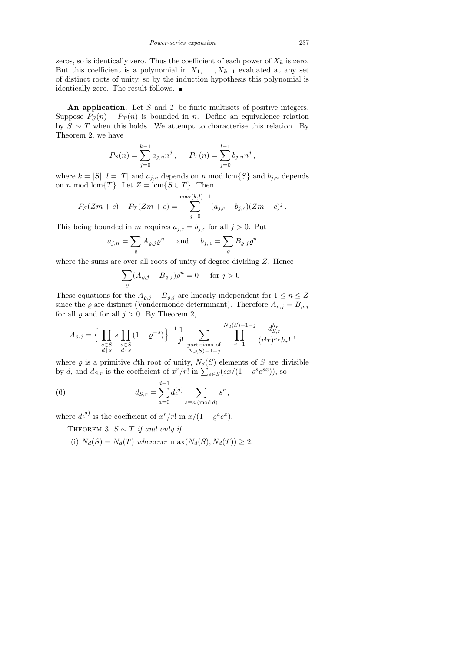Power-series expansion 237

zeros, so is identically zero. Thus the coefficient of each power of  $X_k$  is zero. But this coefficient is a polynomial in  $X_1, \ldots, X_{k-1}$  evaluated at any set of distinct roots of unity, so by the induction hypothesis this polynomial is identically zero. The result follows.  $\blacksquare$ 

An application. Let  $S$  and  $T$  be finite multisets of positive integers. Suppose  $P_S(n) - P_T(n)$  is bounded in n. Define an equivalence relation by  $S \sim T$  when this holds. We attempt to characterise this relation. By Theorem 2, we have

$$
P_S(n) = \sum_{j=0}^{k-1} a_{j,n} n^j, \quad P_T(n) = \sum_{j=0}^{l-1} b_{j,n} n^j,
$$

where  $k = |S|$ ,  $l = |T|$  and  $a_{j,n}$  depends on n mod lcm{S} and  $b_{j,n}$  depends on *n* mod lcm{T}. Let  $Z = \text{lcm}{S \cup T}$ . Then

$$
P_S(Zm + c) - P_T(Zm + c) = \sum_{j=0}^{\max(k,l)-1} (a_{j,c} - b_{j,c})(Zm + c)^j.
$$

This being bounded in m requires  $a_{j,c} = b_{j,c}$  for all  $j > 0$ . Put

$$
a_{j,n} = \sum_{\varrho} A_{\varrho,j} \varrho^n
$$
 and  $b_{j,n} = \sum_{\varrho} B_{\varrho,j} \varrho^n$ 

where the sums are over all roots of unity of degree dividing Z. Hence

$$
\sum_{\varrho} (A_{\varrho,j} - B_{\varrho,j}) \varrho^n = 0 \quad \text{for } j > 0.
$$

These equations for the  $A_{\varrho,j} - B_{\varrho,j}$  are linearly independent for  $1 \leq n \leq Z$ since the  $\varrho$  are distinct (Vandermonde determinant). Therefore  $A_{\varrho,j} = B_{\varrho,j}$ for all  $\varrho$  and for all  $j > 0$ . By Theorem 2,

$$
A_{\varrho,j} = \Big\{ \prod_{\substack{s \in S \\ d \mid s}} s \prod_{\substack{s \in S \\ d \nmid s}} (1 - \varrho^{-s}) \Big\}^{-1} \frac{1}{j!} \sum_{\substack{\text{partitions of} \\ Na(S) - 1 - j}} \prod_{r = 1}^{N_d(S) - 1 - j} \frac{d_{S,r}^{h_r}}{(r!r)^{h_r} h_r!},
$$

where  $\varrho$  is a primitive dth root of unity,  $N_d(S)$  elements of S are divisible by d, and  $d_{S,r}$  is the coefficient of  $x^r/r!$  in  $\sum_{s\in S} (sx/(1-\varrho^s e^{sx}))$ , so

(6) 
$$
d_{S,r} = \sum_{a=0}^{d-1} d_r^{(a)} \sum_{s \equiv a \pmod{d}} s^r,
$$

where  $d_r^{(a)}$  is the coefficient of  $x^r/r!$  in  $x/(1-\varrho^a e^x)$ .

THEOREM 3.  $S \sim T$  if and only if

(i)  $N_d(S) = N_d(T)$  whenever  $\max(N_d(S), N_d(T)) \geq 2$ ,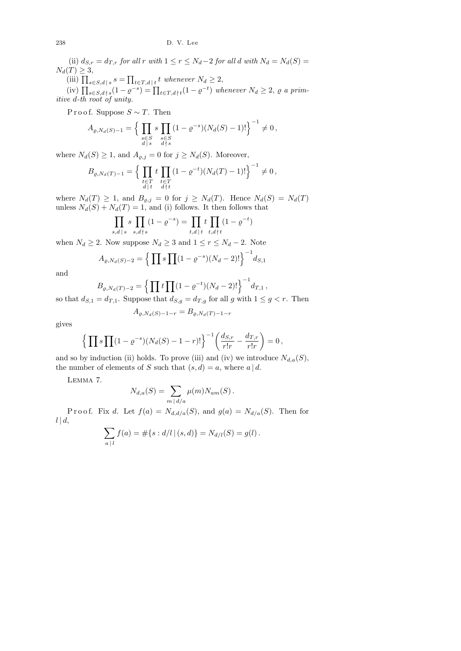(ii)  $d_{S,r} = d_{T,r}$  for all r with  $1 \leq r \leq N_d-2$  for all d with  $N_d = N_d(S)$  $N_d(T) \geq 3$ ,

(iii)  $\prod_{s \in S, d \mid s} s = \prod_{t \in T, d \mid t} t$  whenever  $N_d \geq 2$ ,

(iv)  $\prod_{s \in S, d \nmid s} (1 - \varrho^{-s}) = \prod_{t \in T, d \nmid t} (1 - \varrho^{-t})$  whenever  $N_d \geq 2$ ,  $\varrho$  a primitive d-th root of unity.

P r o o f. Suppose  $S \sim T$ . Then

$$
A_{\varrho, N_d(S)-1} = \Big\{ \prod_{\substack{s \in S \\ d \mid s}} s \prod_{\substack{s \in S \\ d \nmid s}} (1 - \varrho^{-s})(N_d(S) - 1)! \Big\}^{-1} \neq 0,
$$

where  $N_d(S) \geq 1$ , and  $A_{\varrho,j} = 0$  for  $j \geq N_d(S)$ . Moreover,

$$
B_{\varrho, N_d(T)-1} = \Big\{ \prod_{\substack{t \in T \\ d \mid t}} t \prod_{\substack{t \in T \\ d \nmid t}} (1 - \varrho^{-t})(N_d(T) - 1)! \Big\}^{-1} \neq 0 \,,
$$

where  $N_d(T) \geq 1$ , and  $B_{\varrho,j} = 0$  for  $j \geq N_d(T)$ . Hence  $N_d(S) = N_d(T)$ unless  $N_d(S) + N_d(T) = 1$ , and (i) follows. It then follows that

$$
\prod_{s,d \, | \, s} s \prod_{s,d \nmid s} (1 - \varrho^{-s}) = \prod_{t,d \, | \, t} t \prod_{t,d \nmid t} (1 - \varrho^{-t})
$$

when  $N_d \geq 2$ . Now suppose  $N_d \geq 3$  and  $1 \leq r \leq N_d - 2$ . Note

$$
A_{\varrho, N_d(S)-2} = \left\{ \prod s \prod (1 - \varrho^{-s})(N_d - 2)! \right\}^{-1} d_{S,1}
$$

and

$$
B_{\varrho, N_d(T)-2} = \left\{ \prod t \prod (1 - \varrho^{-t})(N_d - 2)! \right\}^{-1} d_{T,1},
$$

so that  $d_{S,1} = d_{T,1}$ . Suppose that  $d_{S,g} = d_{T,g}$  for all g with  $1 \le g < r$ . Then  $A_{\varrho,N_d(S)-1-r} = B_{\varrho,N_d(T)-1-r}$ 

gives

$$
\left\{ \prod s \prod (1 - \varrho^{-s})(N_d(S) - 1 - r)! \right\}^{-1} \left( \frac{d_{S,r}}{r!r} - \frac{d_{T,r}}{r!r} \right) = 0,
$$

and so by induction (ii) holds. To prove (iii) and (iv) we introduce  $N_{d,a}(S)$ , the number of elements of S such that  $(s, d) = a$ , where  $a | d$ .

Lemma 7.

$$
N_{d,a}(S) = \sum_{m \,|\, d/a} \mu(m) N_{am}(S) .
$$

P r o o f. Fix d. Let  $f(a) = N_{d,d/a}(S)$ , and  $g(a) = N_{d/a}(S)$ . Then for  $l | d,$ 

$$
\sum_{a \;|\; l} f(a) = \#\{s : d/l \;|\; (s,d)\} = N_{d/l}(S) = g(l)\,.
$$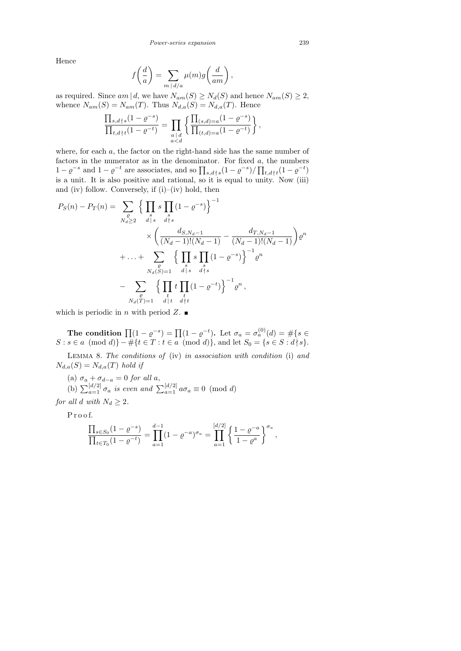Hence

$$
f\left(\frac{d}{a}\right) = \sum_{m \,|\, d/a} \mu(m)g\left(\frac{d}{am}\right)
$$

,

as required. Since  $am | d$ , we have  $N_{am}(S) \geq N_d(S)$  and hence  $N_{am}(S) \geq 2$ , whence  $N_{am}(S) = N_{am}(T)$ . Thus  $N_{d,a}(S) = N_{d,a}(T)$ . Hence

$$
\frac{\prod_{s,d\uparrow s}(1-\varrho^{-s})}{\prod_{t,d\uparrow t}(1-\varrho^{-t})} = \prod_{\substack{a\,\mid\,d\\ a
$$

where, for each  $a$ , the factor on the right-hand side has the same number of factors in the numerator as in the denominator. For fixed  $a$ , the numbers  $1-\varrho^{-s}$  and  $1-\varrho^{-t}$  are associates, and so  $\prod_{s,d\} s(1-\varrho^{-s})/\prod_{t,d\} t(1-\varrho^{-t})$ is a unit. It is also positive and rational, so it is equal to unity. Now (iii) and (iv) follow. Conversely, if  $(i)$ – $(iv)$  hold, then

$$
P_S(n) - P_T(n) = \sum_{N_d \geq 2} \left\{ \prod_{d \mid s} s \prod_{d \nmid s} (1 - \varrho^{-s}) \right\}^{-1}
$$
  

$$
\times \left( \frac{d_{S, N_d - 1}}{(N_d - 1)!(N_d - 1)} - \frac{d_{T, N_d - 1}}{(N_d - 1)!(N_d - 1)} \right) \varrho^n
$$
  

$$
+ \dots + \sum_{\substack{\varrho \\ N_d(S) = 1}} \left\{ \prod_{d \mid s} s \prod_{d \nmid s} (1 - \varrho^{-s}) \right\}^{-1} \varrho^n
$$
  

$$
- \sum_{\substack{\varrho \\ N_d(T) = 1}} \left\{ \prod_{d \mid t} t \prod_{d \nmid t} (1 - \varrho^{-t}) \right\}^{-1} \varrho^n,
$$

which is periodic in *n* with period  $Z$ .

The condition  $\prod (1 - \varrho^{-s}) = \prod (1 - \varrho^{-t})$ . Let  $\sigma_a = \sigma_a^{(0)}(d) = \#\{s \in \varrho_a\}$  $S: s \in a \pmod{d}$  –  $\#\{t \in T : t \in a \pmod{d}\}$ , and let  $S_0 = \{s \in S : d \nmid s\}.$ 

LEMMA 8. The conditions of (iv) in association with condition (i) and  $N_{d,a}(S) = N_{d,a}(T)$  hold if

(a)  $\sigma_a + \sigma_{d-a} = 0$  for all a,

(b)  $\sum_{a=1}^{\lfloor d/2 \rfloor} \sigma_a$  is even and  $\sum_{a=1}^{\lfloor d/2 \rfloor} a \sigma_a \equiv 0 \pmod{d}$ 

for all d with  $N_d \geq 2$ .

P r o o f.

$$
\frac{\prod_{s \in S_0} (1 - \varrho^{-s})}{\prod_{t \in T_0} (1 - \varrho^{-t})} = \prod_{a=1}^{d-1} (1 - \varrho^{-a})^{\sigma_a} = \prod_{a=1}^{[d/2]} \left\{ \frac{1 - \varrho^{-a}}{1 - \varrho^{a}} \right\}^{\sigma_a},
$$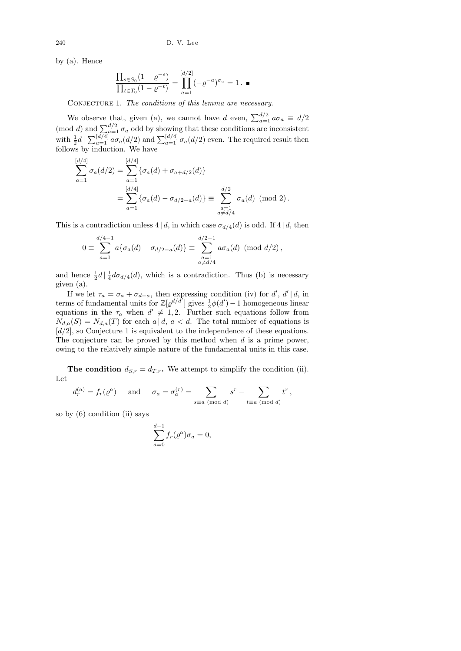by (a). Hence

$$
\frac{\prod_{s \in S_0} (1 - \varrho^{-s})}{\prod_{t \in T_0} (1 - \varrho^{-t})} = \prod_{a=1}^{[d/2]} (-\varrho^{-a})^{\sigma_a} = 1. \blacksquare
$$

CONJECTURE 1. The conditions of this lemma are necessary.

We observe that, given (a), we cannot have d even,  $\sum_{a=1}^{d/2} a \sigma_a \equiv d/2$ (mod d) and  $\sum_{a=1}^{d/2} \sigma_a$  odd by showing that these conditions are inconsistent with  $\frac{1}{2}d | \sum_{a=1}^{\lfloor d/4 \rfloor} a \sigma_a(d/2)$  and  $\sum_{a=1}^{\lfloor d/4 \rfloor} \sigma_a(d/2)$  even. The required result then follows by induction. We have

$$
\sum_{a=1}^{[d/4]} \sigma_a(d/2) = \sum_{a=1}^{[d/4]} \{ \sigma_a(d) + \sigma_{a+d/2}(d) \}
$$
  
= 
$$
\sum_{a=1}^{[d/4]} \{ \sigma_a(d) - \sigma_{d/2-a}(d) \} \equiv \sum_{\substack{a=1 \ a \neq d/4}}^{d/2} \sigma_a(d) \pmod{2}.
$$

This is a contradiction unless  $4 \mid d$ , in which case  $\sigma_{d/4}(d)$  is odd. If  $4 \mid d$ , then

$$
0 \equiv \sum_{a=1}^{d/4-1} a \{ \sigma_a(d) - \sigma_{d/2-a}(d) \} \equiv \sum_{\substack{a=1 \\ a \neq d/4}}^{d/2-1} a \sigma_a(d) \pmod{d/2},
$$

and hence  $\frac{1}{2}d\left|\frac{1}{4}\right|$  $\frac{1}{4}d\sigma_{d/4}(d)$ , which is a contradiction. Thus (b) is necessary given (a).

If we let  $\tau_a = \sigma_a + \sigma_{d-a}$ , then expressing condition (iv) for d', d'|d, in terms of fundamental units for  $\mathbb{Z}[{\varrho}^{d/d}]$  gives  $\frac{1}{2}\phi(d')-1$  homogeneous linear equations in the  $\tau_a$  when  $d' \neq 1, 2$ . Further such equations follow from  $N_{d,a}(S) = N_{d,a}(T)$  for each  $a \mid d, a < d$ . The total number of equations is  $[d/2]$ , so Conjecture 1 is equivalent to the independence of these equations. The conjecture can be proved by this method when  $d$  is a prime power, owing to the relatively simple nature of the fundamental units in this case.

The condition  $d_{S,r} = d_{T,r}$ . We attempt to simplify the condition (ii). Let

$$
d_r^{(a)} = f_r(\varrho^a)
$$
 and  $\sigma_a = \sigma_a^{(r)} = \sum_{s \equiv a \pmod{d}} s^r - \sum_{t \equiv a \pmod{d}} t^r$ ,

so by (6) condition (ii) says

$$
\sum_{a=0}^{d-1} f_r(\varrho^a) \sigma_a = 0,
$$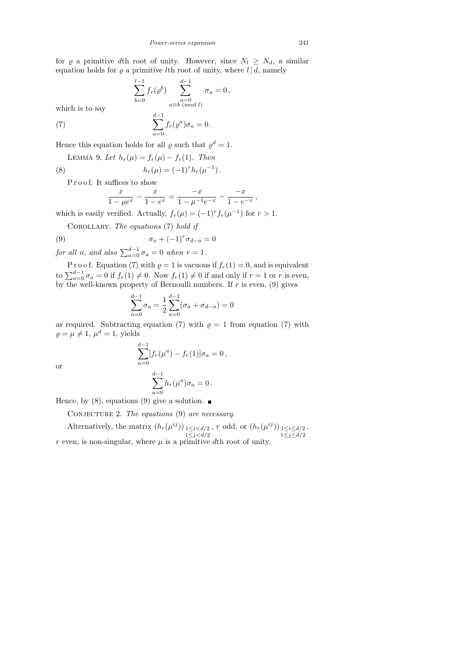for  $\varrho$  a primitive dth root of unity. However, since  $N_l \geq N_d$ , a similar equation holds for  $\varrho$  a primitive lth root of unity, where  $l | d$ , namely

$$
\sum_{b=0}^{l-1} f_r(\varrho^b) \sum_{\substack{a=0 \ a \equiv b \pmod{l}}}^{d-1} \sigma_a = 0,
$$

which is to say

(7) 
$$
\sum_{a=0}^{d-1} f_r(\varrho^a) \sigma_a = 0.
$$

Hence this equation holds for all  $\varrho$  such that  $\varrho^d = 1$ .

LEMMA 9. Let 
$$
h_r(\mu) = f_r(\mu) - f_r(1)
$$
. Then

(8) 
$$
h_r(\mu) = (-1)^r h_r(\mu^{-1}).
$$

Proof. It suffices to show

$$
\frac{x}{1-\mu e^x} - \frac{x}{1-e^x} = \frac{-x}{1-\mu^{-1}e^{-x}} - \frac{-x}{1-e^{-x}},
$$

which is easily verified. Actually,  $f_r(\mu) = (-1)^r f_r(\mu^{-1})$  for  $r > 1$ .

COROLLARY. The equations  $(7)$  hold if

(9) 
$$
\sigma_a + (-1)^r \sigma_{d-a} = 0
$$

for all a, and also  $\sum_{a=0}^{d-1} \sigma_a = 0$  when  $r = 1$ .

P r o o f. Equation (7) with  $\rho = 1$  is vacuous if  $f_r(1) = 0$ , and is equivalent to  $\sum_{a=0}^{d-1} \sigma_a = 0$  if  $f_r(1) \neq 0$ . Now  $f_r(1) \neq 0$  if and only if  $r = 1$  or r is even, by the well-known property of Bernoulli numbers. If  $r$  is even, (9) gives

$$
\sum_{a=0}^{d-1} \sigma_a = \frac{1}{2} \sum_{a=0}^{d-1} (\sigma_a + \sigma_{d-a}) = 0
$$

as required. Subtracting equation (7) with  $\rho = 1$  from equation (7) with  $\rho = \mu \neq 1, \mu^d = 1$ , yields

$$
\sum_{a=0}^{d-1} [f_r(\mu^a) - f_r(1)]\sigma_a = 0,
$$
  

$$
\sum_{a=0}^{d-1} h_{\mu}(u^a)\sigma_a = 0
$$

or

$$
\sum_{a=0}^{d-1} h_r(\mu^a) \sigma_a = 0.
$$

Hence, by (8), equations (9) give a solution.

CONJECTURE 2. The equations (9) are necessary.

Alternatively, the matrix  $(h_r(\mu^{ij}))_{1 \leq i < d/2}$  $1 \leq j \leq d/2$ , r odd, or  $(h_r(\mu^{ij}))_{1 \leq i \leq d/2}$  $1\leq j\leq d/2$ , r even, is non-singular, where  $\mu$  is a primitive dth root of unity.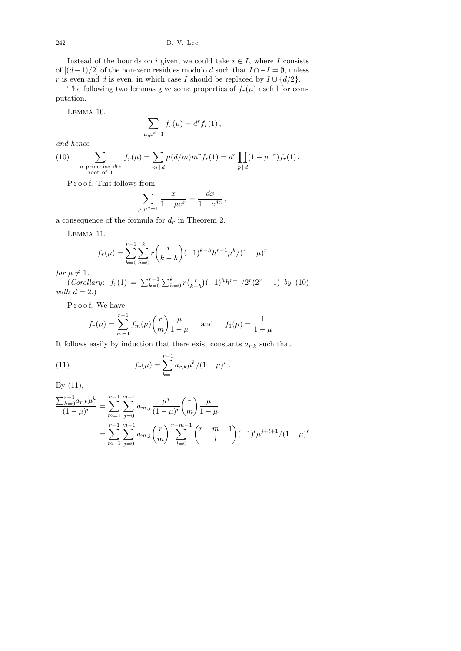Instead of the bounds on i given, we could take  $i \in I$ , where I consists of  $[(d-1)/2]$  of the non-zero residues modulo d such that  $I \cap -I = \emptyset$ , unless r is even and d is even, in which case I should be replaced by  $I \cup \{d/2\}$ .

The following two lemmas give some properties of  $f_r(\mu)$  useful for computation.

Lemma 10.

$$
\sum_{\mu,\mu^d=1} f_r(\mu) = d^r f_r(1),
$$

and hence

(10) 
$$
\sum_{\substack{\mu \text{ primitive } d^{\text{th}} \\ \text{root of } 1}} f_r(\mu) = \sum_{m \mid d} \mu(d/m) m^r f_r(1) = d^r \prod_{p \mid d} (1 - p^{-r}) f_r(1).
$$

Proof. This follows from

$$
\sum_{\mu,\mu^d=1} \frac{x}{1-\mu e^x} = \frac{dx}{1-e^{dx}},
$$

a consequence of the formula for  $d_r$  in Theorem 2.

Lemma 11.

$$
f_r(\mu) = \sum_{k=0}^{r-1} \sum_{h=0}^{k} r \binom{r}{k-h} (-1)^{k-h} h^{r-1} \mu^k / (1-\mu)^r
$$

for  $\mu \neq 1$ .

(Corollary:  $f_r(1) = \sum_{k=0}^{r-1} \sum_{h=0}^{k} r {r \choose k-1}$  $\binom{r}{k-h}(-1)^h h^{r-1}/2^r (2^r-1)$  by (10) with  $d = 2.$ 

Proof. We have

$$
f_r(\mu) = \sum_{m=1}^{r-1} f_m(\mu) {r \choose m} \frac{\mu}{1-\mu}
$$
 and  $f_1(\mu) = \frac{1}{1-\mu}$ .

It follows easily by induction that there exist constants  $a_{r,k}$  such that

(11) 
$$
f_r(\mu) = \sum_{k=1}^{r-1} a_{r,k} \mu^k / (1 - \mu)^r.
$$

By (11),

$$
\frac{\sum_{k=0}^{r-1} a_{r,k} \mu^k}{(1-\mu)^r} = \sum_{m=1}^{r-1} \sum_{j=0}^{m-1} a_{m,j} \frac{\mu^j}{(1-\mu)^r} {r \choose m} \frac{\mu}{1-\mu}
$$
  
= 
$$
\sum_{m=1}^{r-1} \sum_{j=0}^{m-1} a_{m,j} {r \choose m} \sum_{l=0}^{r-m-1} {r-m-1 \choose l} (-1)^l \mu^{j+l+1} / (1-\mu)^r
$$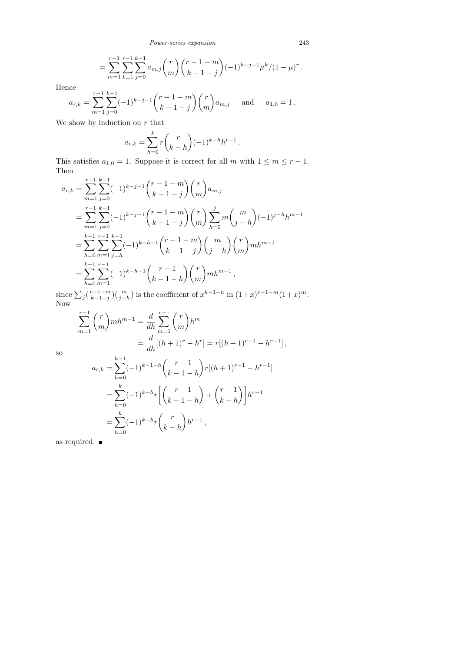$$
= \sum_{m=1}^{r-1} \sum_{k=1}^{r-1} \sum_{j=0}^{k-1} a_{m,j} {r \choose m} {r-1-m \choose k-1-j} (-1)^{k-j-1} \mu^k / (1-\mu)^r.
$$

Hence

$$
a_{r,k} = \sum_{m=1}^{r-1} \sum_{j=0}^{k-1} (-1)^{k-j-1} {r-1-m \choose k-1-j} {r \choose m} a_{m,j} \text{ and } a_{1,0} = 1.
$$

We show by induction on  $r$  that

$$
a_{r,k} = \sum_{h=0}^{k} r \binom{r}{k-h} (-1)^{k-h} h^{r-1}.
$$

This satisfies  $a_{1,0} = 1$ . Suppose it is correct for all m with  $1 \le m \le r - 1$ . Then

$$
a_{r,k} = \sum_{m=1}^{r-1} \sum_{j=0}^{k-1} (-1)^{k-j-1} {r-1-m \choose k-1-j} {r \choose m} a_{m,j}
$$
  
\n
$$
= \sum_{m=1}^{r-1} \sum_{j=0}^{k-1} (-1)^{k-j-1} {r-1-m \choose k-1-j} {r \choose m} \sum_{h=0}^{j} m {m \choose j-h} (-1)^{j-h} h^{m-1}
$$
  
\n
$$
= \sum_{h=0}^{k-1} \sum_{m=1}^{r-1} \sum_{j=h}^{k-1} (-1)^{k-h-1} {r-1-m \choose k-1-j} {m \choose j-h} {r \choose m} m h^{m-1}
$$
  
\n
$$
= \sum_{h=0}^{k-1} \sum_{m=1}^{r-1} (-1)^{k-h-1} {r-1 \choose k-1-h} {r \choose m} m h^{m-1},
$$

since  $\sum_j \binom{r-1-m}{k-1-j}$  $\sum_{k=1-j}^{r-1-m}$  ( $\binom{m}{j-h}$ ) is the coefficient of  $x^{k-1-h}$  in  $(1+x)^{r-1-m}(1+x)^m$ . Now

$$
\sum_{m=1}^{r-1} {r \choose m} mh^{m-1} = \frac{d}{dh} \sum_{m=1}^{r-1} {r \choose m} h^m
$$
  
= 
$$
\frac{d}{dh} [(h+1)^r - h^r] = r[(h+1)^{r-1} - h^{r-1}],
$$

so

$$
a_{r,k} = \sum_{h=0}^{k-1} (-1)^{k-1-h} {r-1 \choose k-1-h} r[(h+1)^{r-1} - h^{r-1}]
$$
  
= 
$$
\sum_{h=0}^{k} (-1)^{k-h} r \left[ {r-1 \choose k-1-h} + {r-1 \choose k-h} \right] h^{r-1}
$$
  
= 
$$
\sum_{h=0}^{k} (-1)^{k-h} r {r \choose k-h} h^{r-1},
$$

as required.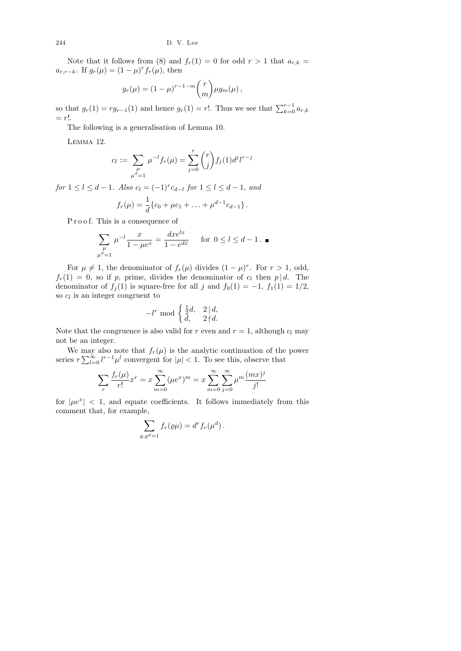Note that it follows from (8) and  $f_r(1) = 0$  for odd  $r > 1$  that  $a_{r,k} =$  $a_{r,r-k}$ . If  $g_r(\mu) = (1 - \mu)^r f_r(\mu)$ , then

$$
g_r(\mu) = (1 - \mu)^{r-1-m} {r \choose m} \mu g_m(\mu),
$$

so that  $g_r(1) = rg_{r-1}(1)$  and hence  $g_r(1) = r!$ . Thus we see that  $\sum_{k=0}^{r-1} a_{r,k}$  $= r!$ .

The following is a generalisation of Lemma 10.

Lemma 12.

$$
c_l := \sum_{\substack{\mu \\ \mu^d = 1}} \mu^{-l} f_r(\mu) = \sum_{j=0}^r \binom{r}{j} f_j(1) d^j l^{r-j}
$$

for  $1 \leq l \leq d-1$ . Also  $c_l = (-1)^r c_{d-l}$  for  $1 \leq l \leq d-1$ , and

$$
f_r(\mu) = \frac{1}{d} \{c_0 + \mu c_1 + \ldots + \mu^{d-1} c_{d-1}\}.
$$

Proof. This is a consequence of

$$
\sum_{\substack{\mu \\ \mu^d = 1}} \mu^{-l} \frac{x}{1 - \mu e^x} = \frac{dx e^{lx}}{1 - e^{dx}} \quad \text{for } 0 \le l \le d - 1. \blacksquare
$$

For  $\mu \neq 1$ , the denominator of  $f_r(\mu)$  divides  $(1 - \mu)^r$ . For  $r > 1$ , odd,  $f_r(1) = 0$ , so if p, prime, divides the denominator of  $c_l$  then p | d. The denominator of  $f_j(1)$  is square-free for all j and  $f_0(1) = -1$ ,  $f_1(1) = 1/2$ , so  $c_l$  is an integer congruent to

$$
-l^r \bmod \begin{cases} \frac{1}{2}d, & 2 \mid d, \\ d, & 2 \nmid d. \end{cases}
$$

Note that the congruence is also valid for r even and  $r = 1$ , although  $c_l$  may not be an integer.

We may also note that  $f_r(\mu)$  is the analytic continuation of the power series  $r \sum_{l=0}^{\infty} l^{r-1} \mu^l$  convergent for  $|\mu| < 1$ . To see this, observe that

$$
\sum_{r} \frac{f_r(\mu)}{r!} x^r = x \sum_{m=0}^{\infty} (\mu e^x)^m = x \sum_{m=0}^{\infty} \sum_{j=0}^{\infty} \mu^m \frac{(mx)^j}{j!}
$$

for  $|\mu e^x|$  < 1, and equate coefficients. It follows immediately from this comment that, for example,

$$
\sum_{\varrho, \varrho^d=1} f_r(\varrho \mu) = d^r f_r(\mu^d).
$$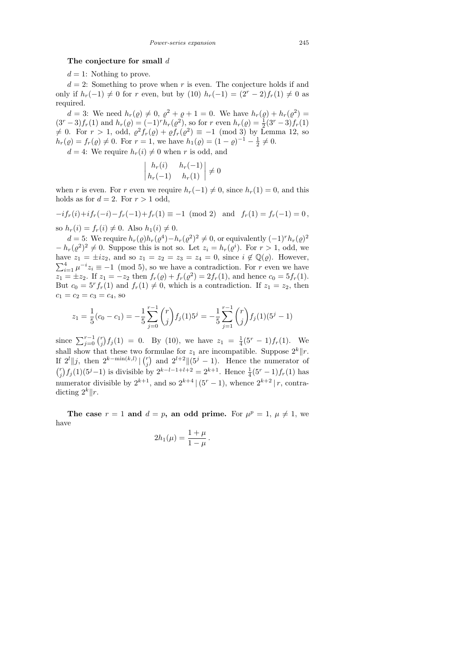## The conjecture for small  $d$

 $d = 1$ : Nothing to prove.

 $d = 2$ : Something to prove when r is even. The conjecture holds if and only if  $h_r(-1) \neq 0$  for r even, but by (10)  $h_r(-1) = (2^r - 2)f_r(1) \neq 0$  as required.

 $d = 3$ : We need  $h_r(\rho) \neq 0, \ \rho^2 + \rho + 1 = 0$ . We have  $h_r(\rho) + h_r(\rho^2) =$  $(3<sup>r</sup> - 3) f_r(1)$  and  $h_r(\varrho) = (-1)<sup>r</sup> h_r(\varrho^2)$ , so for r even  $h_r(\varrho) = \frac{1}{2}(3<sup>r</sup> - 3) f_r(1)$  $\neq$  0. For  $r > 1$ , odd,  $\varrho^2 f_r(\varrho) + \varrho f_r(\varrho^2) \equiv -1 \pmod{3}$  by Lemma 12, so  $h_r(\varrho) = f_r(\varrho) \neq 0$ . For  $r = 1$ , we have  $h_1(\varrho) = (1 - \varrho)^{-1} - \frac{1}{2}$  $\frac{1}{2} \neq 0.$ 

 $d = 4$ : We require  $h_r(i) \neq 0$  when r is odd, and  $\overline{\phantom{a}}$ 

 $\Big\}$  $\bigg\}$  $\begin{array}{c} \end{array}$ 

$$
\begin{vmatrix} h_r(i) & h_r(-1) \\ h_r(-1) & h_r(1) \end{vmatrix} \neq 0
$$

when r is even. For r even we require  $h_r(-1) \neq 0$ , since  $h_r(1) = 0$ , and this holds as for  $d = 2$ . For  $r > 1$  odd,

 $-if_r(i)+if_r(-i)-f_r(-1)+f_r(1) \equiv -1 \pmod{2}$  and  $f_r(1) = f_r(-1) = 0$ ,

so  $h_r(i) = f_r(i) \neq 0$ . Also  $h_1(i) \neq 0$ .

d = 5: We require  $h_r(\varrho)h_r(\varrho^4) - h_r(\varrho^2)^2 \neq 0$ , or equivalently  $(-1)^r h_r(\varrho)^2$  $-h_r(\varrho^2)^2 \neq 0$ . Suppose this is not so. Let  $z_i = h_r(\varrho^i)$ . For  $r > 1$ , odd, we have  $z_1 = \pm i z_2$ , and so  $z_1 = z_2 = z_3 = z_4 = 0$ , since  $i \notin \mathbb{Q}(\varrho)$ . However,  $\sum_{i=1}^{4} \mu^{-i} z_i \equiv -1 \pmod{5}$ , so we have a contradiction. For r even we have  $z_1 = \pm z_2$ . If  $z_1 = -z_2$  then  $f_r(\varrho) + f_r(\varrho^2) = 2f_r(1)$ , and hence  $c_0 = 5f_r(1)$ . But  $c_0 = 5<sup>r</sup> f_r(1)$  and  $f_r(1) \neq 0$ , which is a contradiction. If  $z_1 = z_2$ , then  $c_1 = c_2 = c_3 = c_4$ , so

$$
z_1 = \frac{1}{5}(c_0 - c_1) = -\frac{1}{5}\sum_{j=0}^{r-1} {r \choose j} f_j(1)5^j = -\frac{1}{5}\sum_{j=1}^{r-1} {r \choose j} f_j(1)(5^j - 1)
$$

since  $\sum_{j=0}^{r-1} {r \choose j}$  $f_j^r$  $f_j(1) = 0$ . By (10), we have  $z_1 = \frac{1}{4}$  $\frac{1}{4}(5^r-1)f_r(1)$ . We shall show that these two formulae for  $z_1$  are incompatible. Suppose  $2^k || r$ . If  $2^l || j$ , then  $2^{k-\min(k,l)} || \binom{r}{i}$  $j^{(r)}$  and  $2^{l+2} \|(5^j-1)$ . Hence the numerator of  $\binom{r}{i}$  $f_j^r$  $f_j(1)(5^j-1)$  is divisible by  $2^{k-l-1+l+2} = 2^{k+1}$ . Hence  $\frac{1}{4}(5^r-1)f_r(1)$  has numerator divisible by  $2^{k+1}$ , and so  $2^{k+4}$   $(5^r - 1)$ , whence  $2^{k+2}$  | r, contradicting  $2^k$  ||r.

The case  $r = 1$  and  $d = p$ , an odd prime. For  $\mu^p = 1$ ,  $\mu \neq 1$ , we have

$$
2h_1(\mu) = \frac{1+\mu}{1-\mu}
$$

.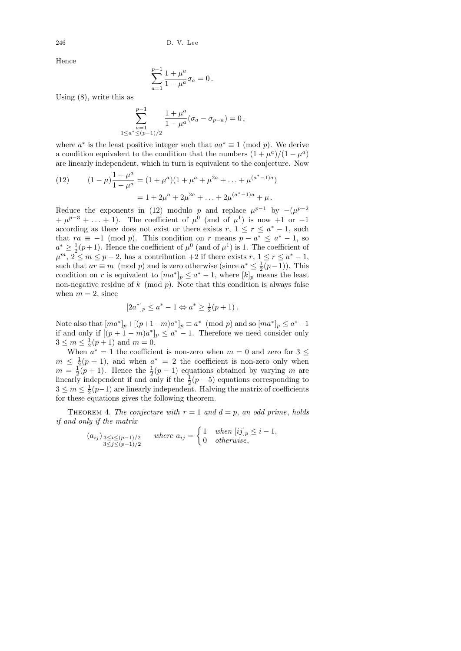Hence

$$
\sum_{a=1}^{p-1} \frac{1+\mu^a}{1-\mu^a} \sigma_a = 0 \, .
$$

Using (8), write this as

$$
\sum_{\substack{a=1 \ 1 \le a^* \le (p-1)/2}}^{p-1} \frac{1+\mu^a}{1-\mu^a} (\sigma_a - \sigma_{p-a}) = 0,
$$

where  $a^*$  is the least positive integer such that  $aa^* \equiv 1 \pmod{p}$ . We derive a condition equivalent to the condition that the numbers  $(1 + \mu^a)/(1 - \mu^a)$ are linearly independent, which in turn is equivalent to the conjecture. Now

(12) 
$$
(1 - \mu) \frac{1 + \mu^{a}}{1 - \mu^{a}} = (1 + \mu^{a})(1 + \mu^{a} + \mu^{2a} + \dots + \mu^{(a^{*}-1)a})
$$

$$
= 1 + 2\mu^{a} + 2\mu^{2a} + \dots + 2\mu^{(a^{*}-1)a} + \mu.
$$

Reduce the exponents in (12) modulo p and replace  $\mu^{p-1}$  by  $-(\mu^{p-2})$  $+\mu^{p-3}+\ldots+1$ ). The coefficient of  $\mu^0$  (and of  $\mu^1$ ) is now  $+1$  or  $-1$ according as there does not exist or there exists  $r, 1 \leq r \leq a^* - 1$ , such that  $ra \equiv -1 \pmod{p}$ . This condition on r means  $p - a^* \leq a^* - 1$ , so  $a^* \geq \frac{1}{2}$  $\frac{1}{2}(p+1)$ . Hence the coefficient of  $\mu^0$  (and of  $\mu^1$ ) is 1. The coefficient of  $\mu^m, 2 \leq m \leq p-2$ , has a contribution  $+2$  if there exists  $r, 1 \leq r \leq a^* - 1$ , such that  $ar \equiv m \pmod{p}$  and is zero otherwise (since  $a^* \leq \frac{1}{2}$ )  $rac{1}{2}(p-1)$ ). This condition on r is equivalent to  $[m a^*]_p \le a^* - 1$ , where  $[k]_p$  means the least non-negative residue of  $k \pmod{p}$ . Note that this condition is always false when  $m = 2$ , since

$$
[2a^*]_p \le a^* - 1 \Leftrightarrow a^* \ge \frac{1}{2}(p+1).
$$

Note also that  $[ma^*]_p + [(p+1-m)a^*]_p \equiv a^* \pmod{p}$  and so  $[ma^*]_p \le a^* - 1$ if and only if  $[(p+1-m)a^*]_p \le a^* - 1$ . Therefore we need consider only  $3\leq m\leq \frac{1}{2}$  $\frac{1}{2}(p+1)$  and  $m = 0$ .

When  $a^* = 1$  the coefficient is non-zero when  $m = 0$  and zero for  $3 \leq$  $m \leq \frac{1}{2}(p+1)$ , and when  $a^* = 2$  the coefficient is non-zero only when  $m = \frac{1}{2}$  $\frac{1}{2}(p+1)$ . Hence the  $\frac{1}{2}(p-1)$  equations obtained by varying m are linearly independent if and only if the  $\frac{1}{2}(p-5)$  equations corresponding to  $3\leq m\leq \frac{1}{2}$  $\frac{1}{2}(p-1)$  are linearly independent. Halving the matrix of coefficients for these equations gives the following theorem.

THEOREM 4. The conjecture with  $r = 1$  and  $d = p$ , an odd prime, holds if and only if the matrix

$$
(a_{ij})_{\substack{3 \le i \le (p-1)/2 \\ 3 \le j \le (p-1)/2}} \quad where \ a_{ij} = \begin{cases} 1 & when \ [ij]_p \le i-1, \\ 0 & otherwise, \end{cases}
$$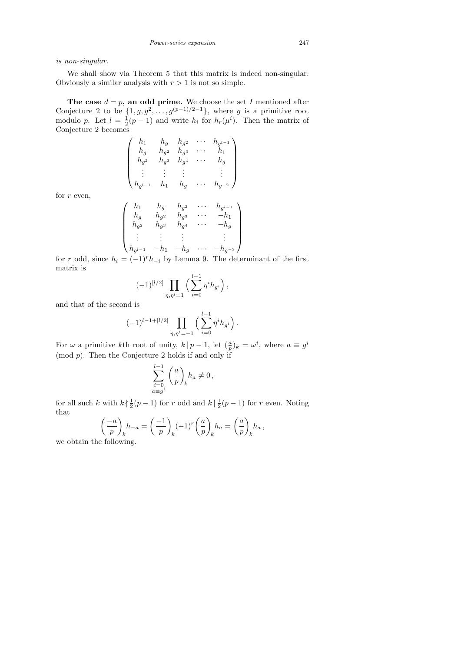is non-singular.

We shall show via Theorem 5 that this matrix is indeed non-singular. Obviously a similar analysis with  $r > 1$  is not so simple.

The case  $d = p$ , an odd prime. We choose the set I mentioned after Conjecture 2 to be  $\{1, g, g^2, \ldots, g^{(p-1)/2-1}\}$ , where g is a primitive root modulo p. Let  $l=\frac{1}{2}$  $\frac{1}{2}(p-1)$  and write  $h_i$  for  $h_r(\mu^i)$ . Then the matrix of Conjecture 2 becomes

$$
\begin{pmatrix}\nh_1 & h_g & h_{g^2} & \cdots & h_{g^{l-1}} \\
h_g & h_{g^2} & h_{g^3} & \cdots & h_1 \\
h_{g^2} & h_{g^3} & h_{g^4} & \cdots & h_g \\
\vdots & \vdots & \vdots & & \vdots \\
h_{g^{l-1}} & h_1 & h_g & \cdots & h_{g^{-2}}\n\end{pmatrix}
$$

for  $r$  even,

$$
\begin{pmatrix} h_1 & h_g & h_{g^2} & \cdots & h_{g^{l-1}} \\ h_g & h_{g^2} & h_{g^3} & \cdots & -h_1 \\ h_{g^2} & h_{g^3} & h_{g^4} & \cdots & -h_g \\ \vdots & \vdots & \vdots & & \vdots \\ h_{g^{l-1}} & -h_1 & -h_g & \cdots & -h_{g^{-2}} \end{pmatrix}
$$

for r odd, since  $h_i = (-1)^r h_{-i}$  by Lemma 9. The determinant of the first matrix is

$$
(-1)^{[l/2]} \prod_{\eta,\eta'=1} \Big(\sum_{i=0}^{l-1} \eta^i h_{g^i}\Big),
$$

and that of the second is

$$
(-1)^{l-1+[l/2]} \prod_{\eta,\eta^l=-1} \left( \sum_{i=0}^{l-1} \eta^i h_{g^i} \right).
$$

For  $\omega$  a primitive kth root of unity,  $k | p - 1$ , let  $(\frac{a}{p})_k = \omega^i$ , where  $a \equiv g^i$  $(mod p)$ . Then the Conjecture 2 holds if and only if

$$
\sum_{\substack{i=0\\a\equiv g^i}}^{l-1}\bigg(\frac{a}{p}\bigg)_k h_a\neq 0\,,
$$

for all such k with  $k \nmid \frac{1}{2}$  $\frac{1}{2}(p-1)$  for r odd and  $k \mid \frac{1}{2}$  $\frac{1}{2}(p-1)$  for r even. Noting that

$$
\left(\frac{-a}{p}\right)_k h_{-a} = \left(\frac{-1}{p}\right)_k (-1)^r \left(\frac{a}{p}\right)_k h_a = \left(\frac{a}{p}\right)_k h_a,
$$

we obtain the following.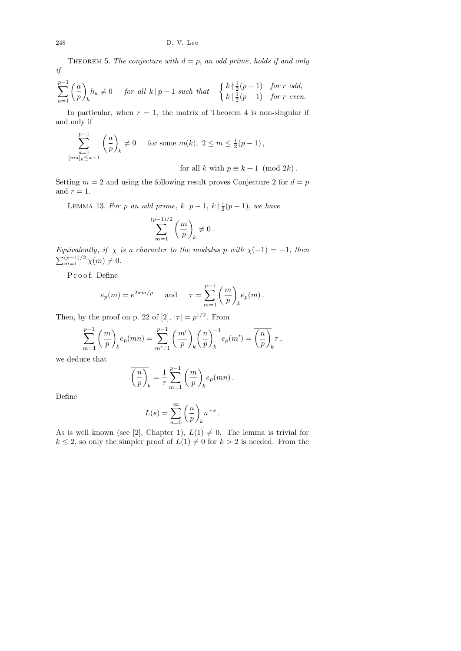THEOREM 5. The conjecture with  $d = p$ , an odd prime, holds if and only if

$$
\sum_{a=1}^{p-1} \left(\frac{a}{p}\right)_k h_a \neq 0 \quad \text{for all } k \mid p-1 \text{ such that } \begin{cases} k \n\mid \frac{1}{2}(p-1) & \text{for } r \text{ odd,} \\ k \mid \frac{1}{2}(p-1) & \text{for } r \text{ even.} \end{cases}
$$

In particular, when  $r = 1$ , the matrix of Theorem 4 is non-singular if and only if

$$
\sum_{\substack{a=1 \ [mal]_p \le a-1}}^{p-1} \left(\frac{a}{p}\right)_k \neq 0 \quad \text{ for some } m(k), 2 \le m \le \frac{1}{2}(p-1),
$$
  
for all  $k$  with  $p \equiv k+1 \pmod{2k}$ .

Setting  $m = 2$  and using the following result proves Conjecture 2 for  $d = p$ and  $r = 1$ .

LEMMA 13. For p an odd prime,  $k | p - 1, k | \frac{1}{2}$  $\frac{1}{2}(p-1)$ , we have

$$
\sum_{m=1}^{(p-1)/2}\left(\frac{m}{p}\right)_k\neq 0\,.
$$

Equivalently, if  $\chi$  is a character to the modulus p with  $\chi(-1) = -1$ , then  $\sum_{m=1}^{(p-1)/2} \chi(m) \neq 0.$ 

P r o o f. Define

$$
e_p(m) = e^{2\pi m/p}
$$
 and  $\tau = \sum_{m=1}^{p-1} \left(\frac{m}{p}\right)_k e_p(m).$ 

Then, by the proof on p. 22 of [2],  $|\tau| = p^{1/2}$ . From

$$
\sum_{m=1}^{p-1}\bigg(\frac{m}{p}\bigg)_k e_p(mn)=\sum_{m'=1}^{p-1}\bigg(\frac{m'}{p}\bigg)_k \bigg(\frac{n}{p}\bigg)_k^{-1} e_p(m')=\overline{\bigg(\frac{n}{p}\bigg)_k}\tau\,,
$$

we deduce that

$$
\overline{\left(\frac{n}{p}\right)_k} = \frac{1}{\tau} \sum_{m=1}^{p-1} \left(\frac{m}{p}\right)_k e_p(mn).
$$

Define

$$
L(s) = \sum_{n=0}^{\infty} \left(\frac{n}{p}\right)_k n^{-s}.
$$

As is well known (see [2], Chapter 1),  $L(1) \neq 0$ . The lemma is trivial for  $k \leq 2$ , so only the simpler proof of  $L(1) \neq 0$  for  $k > 2$  is needed. From the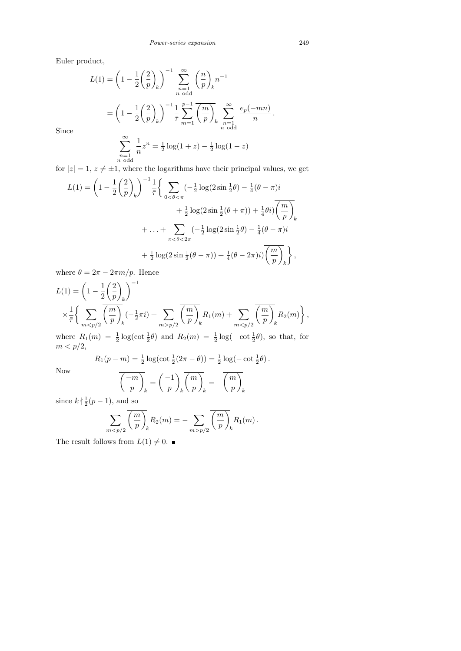Euler product,

$$
L(1) = \left(1 - \frac{1}{2} \left(\frac{2}{p}\right)_k\right)^{-1} \sum_{\substack{n=1 \ n \text{ odd}}}^{\infty} \left(\frac{n}{p}\right)_k n^{-1}
$$
  
=  $\left(1 - \frac{1}{2} \left(\frac{2}{p}\right)_k\right)^{-1} \frac{1}{\overline{p}} \sum_{m=1}^{p-1} \overline{\left(\frac{m}{p}\right)_k} \sum_{\substack{n=1 \ n \text{ odd}}}^{\infty} \frac{e_p(-mn)}{n}.$   

$$
\sum_{n=1}^{\infty} \frac{1}{n} z^n = \frac{1}{2} \log(1+z) - \frac{1}{2} \log(1-z)
$$

Since

$$
\sum_{\substack{n=1 \ n \text{ odd}}}^{\infty} \frac{1}{n} z^n = \frac{1}{2} \log(1+z) - \frac{1}{2} \log(1-z)
$$

for  $|z| = 1, z \neq \pm 1$ , where the logarithms have their principal values, we get

$$
L(1) = \left(1 - \frac{1}{2}\left(\frac{2}{p}\right)_k\right)^{-1} \frac{1}{\bar{\tau}} \left\{\sum_{0 < \theta < \pi} (-\frac{1}{2}\log(2\sin\frac{1}{2}\theta) - \frac{1}{4}(\theta - \pi)i + \frac{1}{2}\log(2\sin\frac{1}{2}(\theta + \pi)) + \frac{1}{4}\theta i)\overline{\left(\frac{m}{p}\right)_k} + \dots + \sum_{\pi < \theta < 2\pi} (-\frac{1}{2}\log(2\sin\frac{1}{2}\theta) - \frac{1}{4}(\theta - \pi)i + \frac{1}{2}\log(2\sin\frac{1}{2}(\theta - \pi)) + \frac{1}{4}(\theta - 2\pi)i)\overline{\left(\frac{m}{p}\right)_k} \right\},\
$$

where  $\theta = 2\pi - 2\pi m/p$ . Hence

$$
L(1) = \left(1 - \frac{1}{2} \left(\frac{2}{p}\right)_k\right)^{-1}
$$
  
\$\times \frac{1}{\bar{\tau}} \left\{ \sum\_{m < p/2} \overline{\left(\frac{m}{p}\right)\_k} \left(-\frac{1}{2}\pi i\right) + \sum\_{m > p/2} \overline{\left(\frac{m}{p}\right)\_k} R\_1(m) + \sum\_{m < p/2} \overline{\left(\frac{m}{p}\right)\_k} R\_2(m) \right\},\n  
where  $R_r(m)$ ,  $\frac{1}{r}$  log( $\cot \frac{1}{r} \theta$ ) and  $R_r(m)$ ,  $\frac{1}{r}$  log( $\cot \frac{1}{r} \theta$ ), so that for

where  $R_1(m) = \frac{1}{2} \log(\cot \frac{1}{2}\theta)$  and  $R_2(m) = \frac{1}{2} \log(-\cot \frac{1}{2}\theta)$ , so that, for  $m < p/2$ ,

$$
R_1(p - m) = \frac{1}{2} \log(\cot \frac{1}{2}(2\pi - \theta)) = \frac{1}{2} \log(-\cot \frac{1}{2}\theta).
$$

Now

$$
\overline{\left(\frac{-m}{p}\right)_k} = \left(\frac{-1}{p}\right)_k \overline{\left(\frac{m}{p}\right)_k} = -\overline{\left(\frac{m}{p}\right)_k}
$$
  
and so

since  $k \nmid \frac{1}{2}$  $\frac{1}{2}(p-1)$ , and so

$$
\sum_{mp/2} \overline{\left(\frac{m}{p}\right)_k} R_1(m).
$$

The result follows from  $L(1) \neq 0$ .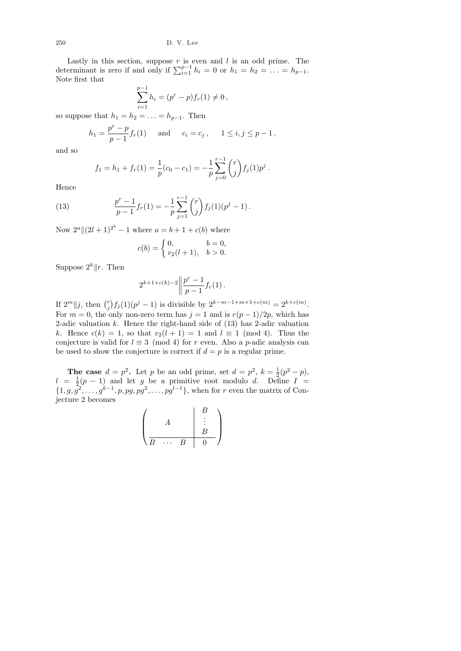Lastly in this section, suppose  $r$  is even and  $l$  is an odd prime. The determinant is zero if and only if  $\sum_{i=1}^{p-1} h_i = 0$  or  $h_1 = h_2 = \ldots = h_{p-1}$ . Note first that

$$
\sum_{i=1}^{p-1} h_i = (p^r - p) f_r(1) \neq 0,
$$

so suppose that  $h_1 = h_2 = \ldots = h_{p-1}$ . Then

$$
h_1 = \frac{p^r - p}{p - 1} f_r(1)
$$
 and  $c_i = c_j$ ,  $1 \le i, j \le p - 1$ ,

and so

$$
f_1 = h_1 + f_r(1) = \frac{1}{p}(c_0 - c_1) = -\frac{1}{p}\sum_{j=0}^{r-1} {r \choose j} f_j(1)p^j.
$$

Hence

(13) 
$$
\frac{p^r - 1}{p - 1} f_r(1) = -\frac{1}{p} \sum_{j=1}^{r-1} {r \choose j} f_j(1) (p^j - 1).
$$

Now  $2^a \|(2l+1)^{2^b} - 1$  where  $a = b + 1 + c(b)$  where

$$
c(b) = \begin{cases} 0, & b = 0, \\ v_2(l+1), & b > 0. \end{cases}
$$

Suppose  $2^k || r$ . Then

$$
2^{k+1+c(k)-2} \left\| \frac{p^r-1}{p-1} f_r(1) \right\|.
$$

If  $2^m || j$ , then  $\binom{r}{i}$  $f_j^r$  $f_j(1)(p^j - 1)$  is divisible by  $2^{k-m-1+m+1+c(m)} = 2^{k+c(m)}$ . For  $m = 0$ , the only non-zero term has  $j = 1$  and is  $r(p-1)/2p$ , which has 2-adic valuation  $k$ . Hence the right-hand side of  $(13)$  has 2-adic valuation k. Hence  $c(k) = 1$ , so that  $v_2(l + 1) = 1$  and  $l \equiv 1 \pmod{4}$ . Thus the conjecture is valid for  $l \equiv 3 \pmod{4}$  for r even. Also a p-adic analysis can be used to show the conjecture is correct if  $d = p$  is a regular prime.

**The case**  $d = p^2$ . Let p be an odd prime, set  $d = p^2$ ,  $k = \frac{1}{2}$  $rac{1}{2}(p^2 - p),$  $l = \frac{1}{2}$  $\frac{1}{2}(p-1)$  and let g be a primitive root modulo d. Define  $I =$  $\{1, g, \overline{g^2}, \ldots, g^{k-1}, p, pg, pg^2, \ldots, pg^{l-1}\},$  when for r even the matrix of Conjecture 2 becomes

$$
\left(\begin{array}{c|c}\n & A & B \\
 & \vdots & \\
\hline\nB & \cdots & B & 0\n\end{array}\right)
$$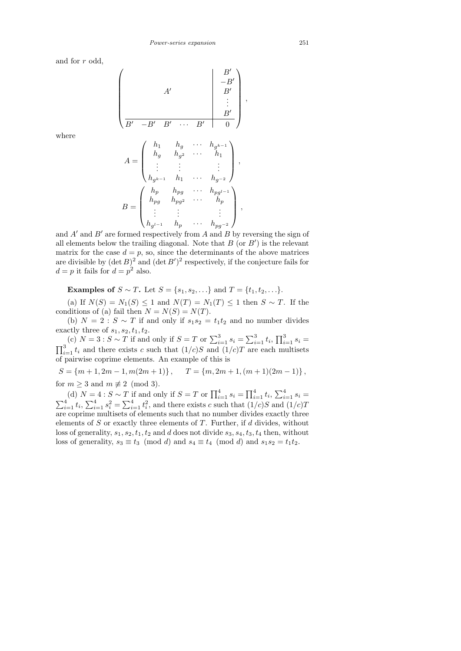and for r odd,

$$
\begin{pmatrix}\n & & & & & B' \\
 & A' & & & & B' \\
 & & B' & & & \\
 & & & & B' \\
\hline\n & B' & -B' & B' & \cdots & B' & 0\n\end{pmatrix}
$$

,

where

$$
A = \begin{pmatrix} h_1 & h_g & \cdots & h_{g^{k-1}} \\ h_g & h_{g^2} & \cdots & h_1 \\ \vdots & \vdots & & \vdots \\ h_{g^{k-1}} & h_1 & \cdots & h_{g^{-2}} \end{pmatrix},
$$

$$
B = \begin{pmatrix} h_p & h_{pg} & \cdots & h_{pg^{l-1}} \\ h_{pg} & h_{pg^2} & \cdots & h_p \\ \vdots & \vdots & & \vdots \\ h_{g^{l-1}} & h_p & \cdots & h_{pg^{-2}} \end{pmatrix},
$$

and  $A'$  and  $B'$  are formed respectively from  $A$  and  $B$  by reversing the sign of all elements below the trailing diagonal. Note that  $B$  (or  $B'$ ) is the relevant matrix for the case  $d = p$ , so, since the determinants of the above matrices are divisible by  $(\det B)^2$  and  $(\det B')^2$  respectively, if the conjecture fails for  $d = p$  it fails for  $d = p^2$  also.

Examples of  $S \sim T$ . Let  $S = \{s_1, s_2, ...\}$  and  $T = \{t_1, t_2, ...\}$ .

(a) If  $N(S) = N_1(S) \leq 1$  and  $N(T) = N_1(T) \leq 1$  then  $S \sim T$ . If the conditions of (a) fail then  $N = N(S) = N(T)$ .

(b)  $N = 2 : S \sim T$  if and only if  $s_1 s_2 = t_1 t_2$  and no number divides exactly three of  $s_1, s_2, t_1, t_2$ .

(c)  $N = 3: S \sim T$  if and only if  $S = T$  or  $\sum_{i=1}^{3} s_i = \sum_{i=1}^{3} t_i$ ,  $\prod_{i=1}^{3} s_i =$  $\prod_{i=1}^{3} t_i$  and there exists c such that  $(1/c)S$  and  $(1/c)T$  are each multisets of pairwise coprime elements. An example of this is

 $S = \{m+1, 2m-1, m(2m+1)\}, \quad T = \{m, 2m+1, (m+1)(2m-1)\},$ for  $m \geq 3$  and  $m \not\equiv 2 \pmod{3}$ .

(d)  $N = 4: S \sim T$  if and only if  $S = T$  or  $\prod_{i=1}^{4} s_i = \prod_{i=1}^{4} t_i$ ,  $\sum_{i=1}^{4} s_i =$  $\sum_{i=1}^{4} t_i$ ,  $\sum_{i=1}^{4} s_i^2 = \sum_{i=1}^{4} t_i^2$ , and there exists c such that  $(1/c)S$  and  $(1/c)T$ are coprime multisets of elements such that no number divides exactly three elements of  $S$  or exactly three elements of  $T$ . Further, if  $d$  divides, without loss of generality,  $s_1, s_2, t_1, t_2$  and d does not divide  $s_3, s_4, t_3, t_4$  then, without loss of generality,  $s_3 \equiv t_3 \pmod{d}$  and  $s_4 \equiv t_4 \pmod{d}$  and  $s_1 s_2 = t_1 t_2$ .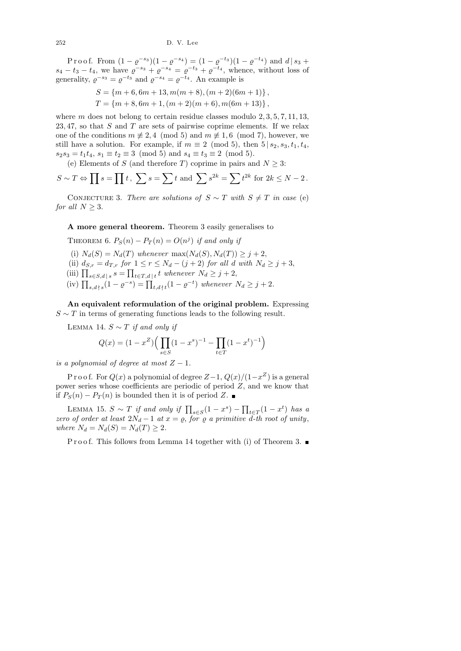P r o o f. From  $(1 - \varrho^{-s_3})(1 - \varrho^{-s_4}) = (1 - \varrho^{-t_3})(1 - \varrho^{-t_4})$  and  $d | s_3 +$  $s_4 - t_3 - t_4$ , we have  $\varrho^{-s_3} + \varrho^{-s_4} = \varrho^{-t_3} + \varrho^{-t_4}$ , whence, without loss of generality,  $\varrho^{-s_3} = \varrho^{-t_3}$  and  $\varrho^{-s_4} = \varrho^{-t_4}$ . An example is

$$
S = \{m+6, 6m+13, m(m+8), (m+2)(6m+1)\},\
$$
  

$$
T = \{m+8, 6m+1, (m+2)(m+6), m(6m+13)\},\
$$

where m does not belong to certain residue classes modulo  $2, 3, 5, 7, 11, 13$ , 23, 47, so that  $S$  and  $T$  are sets of pairwise coprime elements. If we relax one of the conditions  $m \not\equiv 2, 4 \pmod{5}$  and  $m \not\equiv 1, 6 \pmod{7}$ , however, we still have a solution. For example, if  $m \equiv 2 \pmod{5}$ , then  $5 | s_2, s_3, t_1, t_4$ ,  $s_2s_3 = t_1t_4$ ,  $s_1 \equiv t_2 \equiv 3 \pmod{5}$  and  $s_4 \equiv t_3 \equiv 2 \pmod{5}$ .

(e) Elements of S (and therefore T) coprime in pairs and  $N \geq 3$ :

$$
S \sim T \Leftrightarrow \prod s = \prod t, \sum s = \sum t \text{ and } \sum s^{2k} = \sum t^{2k} \text{ for } 2k \le N - 2.
$$

CONJECTURE 3. There are solutions of  $S \sim T$  with  $S \neq T$  in case (e) for all  $N \geq 3$ .

A more general theorem. Theorem 3 easily generalises to

THEOREM 6.  $P_S(n) - P_T(n) = O(n^j)$  if and only if (i)  $N_d(S) = N_d(T)$  whenever  $\max(N_d(S), N_d(T)) \geq j+2$ , (ii)  $d_{S,r} = d_{T,r}$  for  $1 \leq r \leq N_d - (j+2)$  for all d with  $N_d \geq j+3$ , (iii)  $\prod_{s \in S, d \mid s} s = \prod_{t \in T, d \mid t} t$  whenever  $N_d \geq j+2$ , (iv)  $\prod_{s,d \nmid s} (1 - \varrho^{-s}) = \prod_{t,d \nmid t} (1 - \varrho^{-t})$  whenever  $N_d \geq j+2$ .

An equivalent reformulation of the original problem. Expressing  $S \sim T$  in terms of generating functions leads to the following result.

LEMMA 14.  $S \sim T$  if and only if

$$
Q(x) = (1 - x^Z) \Big( \prod_{s \in S} (1 - x^s)^{-1} - \prod_{t \in T} (1 - x^t)^{-1} \Big)
$$

is a polynomial of degree at most  $Z - 1$ .

P r o o f. For  $Q(x)$  a polynomial of degree  $Z-1$ ,  $Q(x)/(1-x^Z)$  is a general power series whose coefficients are periodic of period  $Z$ , and we know that if  $P_S(n) - P_T(n)$  is bounded then it is of period Z. ■

LEMMA 15.  $S \sim T$  if and only if  $\prod_{s \in S} (1 - x^s) - \prod_{t \in T} (1 - x^t)$  has a zero of order at least  $2N_d - 1$  at  $x = \varrho$ , for  $\varrho$  a primitive d-th root of unity, where  $N_d = N_d(S) = N_d(T) \geq 2$ .

P r o o f. This follows from Lemma 14 together with (i) of Theorem 3.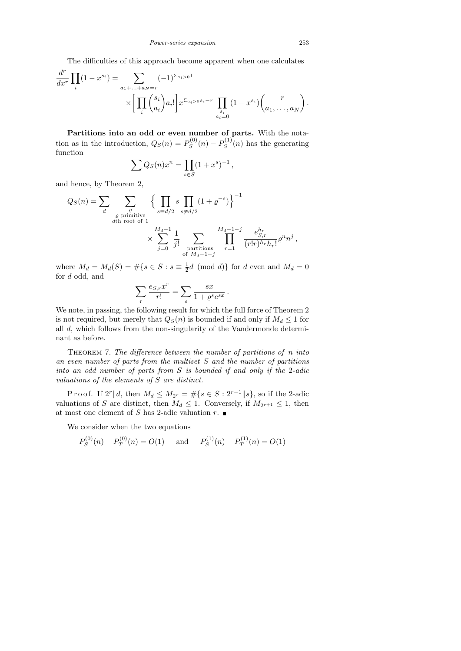The difficulties of this approach become apparent when one calculates

$$
\frac{d^r}{dx^r} \prod_i (1 - x^{s_i}) = \sum_{\substack{a_1 + \dots + a_N = r \\ \vdots \\ a_i = 0}} (-1)^{\sum_{a_i > 0} 1} \sum_{\substack{a_i \\ a_i = 0}} (1 - x^{s_i}) {r \choose a_1, \dots, a_N}.
$$

Partitions into an odd or even number of parts. With the notation as in the introduction,  $Q_S(n) = P_S^{(0)}$  $P_S^{(0)}(n) - P_S^{(1)}$  $S^{(1)}(n)$  has the generating function

$$
\sum Q_S(n)x^n = \prod_{s \in S} (1+x^s)^{-1},
$$

and hence, by Theorem 2,

$$
Q_S(n) = \sum_{d} \sum_{\substack{\varrho \text{ primitive} \\ d \text{th root of 1} \\ \times \sum_{j=0}^{M_d-1} \frac{1}{j!} \sum_{\substack{\text{partitions} \\ \text{partitions} \\ \text{of } M_d-1-j}} \sum_{r=1}^{M_d-1-j} \frac{e_{S,r}^{h_r}}{(r!r)^{h_r} h_r!} \varrho^n n^j,
$$

where  $M_d = M_d(S) = \#\{s \in S : s \equiv \frac{1}{2}\}$  $\frac{1}{2}d \pmod{d}$  for d even and  $M_d = 0$ for d odd, and

$$
\sum_{r} \frac{e_{S,r} x^r}{r!} = \sum_{s} \frac{sx}{1 + \varrho^s e^{sx}}
$$

.

We note, in passing, the following result for which the full force of Theorem 2 is not required, but merely that  $Q_S(n)$  is bounded if and only if  $M_d \leq 1$  for all d, which follows from the non-singularity of the Vandermonde determinant as before.

THEOREM 7. The difference between the number of partitions of  $n$  into an even number of parts from the multiset S and the number of partitions into an odd number of parts from S is bounded if and only if the 2-adic valuations of the elements of S are distinct.

Proof. If  $2^r || d$ , then  $M_d \leq M_{2^r} = \# \{ s \in S : 2^{r-1} || s \}$ , so if the 2-adic valuations of S are distinct, then  $M_d \leq 1$ . Conversely, if  $M_{2^{r+1}} \leq 1$ , then at most one element of S has 2-adic valuation  $r$ .

We consider when the two equations

$$
P_S^{(0)}(n) - P_T^{(0)}(n) = O(1)
$$
 and  $P_S^{(1)}(n) - P_T^{(1)}(n) = O(1)$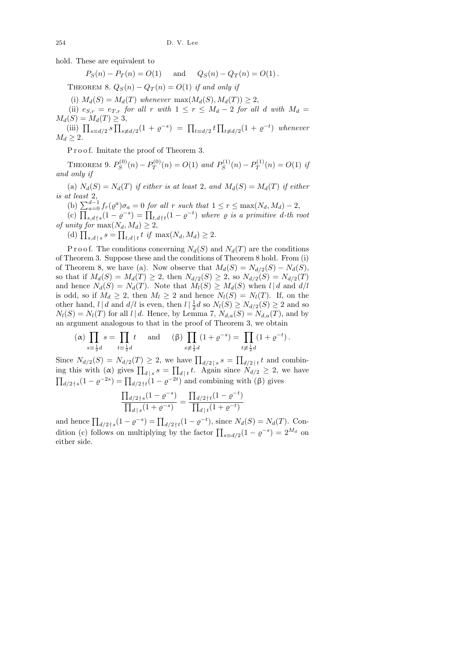hold. These are equivalent to

$$
P_S(n) - P_T(n) = O(1)
$$
 and  $Q_S(n) - Q_T(n) = O(1)$ .

THEOREM 8.  $Q_S(n) - Q_T(n) = O(1)$  if and only if

(i)  $M_d(S) = M_d(T)$  whenever  $\max(M_d(S), M_d(T)) \geq 2$ ,

(ii)  $e_{S,r} = e_{T,r}$  for all r with  $1 \leq r \leq M_d - 2$  for all d with  $M_d =$  $M_d(S) = M_d(T) \geq 3,$ 

(iii)  $\prod_{s \equiv d/2} s \prod_{s \not\equiv d/2} (1 + \varrho^{-s}) = \prod_{t \equiv d/2} t \prod_{t \not\equiv d/2} (1 + \varrho^{-t})$  whenever  $M_d \geq 2$ .

P r o o f. Imitate the proof of Theorem 3.

THEOREM 9.  $P_S^{(0)}$  $P_S^{(0)}(n) - P_T^{(0)}$  $P_T^{(0)}(n) = O(1)$  and  $P_S^{(1)}$  $P_S^{(1)}(n) - P_T^{(1)}$  $Q_T^{(1)}(n) = O(1)$  if and only if

(a)  $N_d(S) = N_d(T)$  if either is at least 2, and  $M_d(S) = M_d(T)$  if either is at least 2,

(b)  $\sum_{a=0}^{d-1} f_r(\varrho^a) \sigma_a = 0$  for all r such that  $1 \leq r \leq \max(N_d, M_d) - 2$ ,

(c)  $\prod_{s,d \nmid s} (1 - \varrho^{-s}) = \prod_{t,d \nmid t} (1 - \varrho^{-t})$  where  $\varrho$  is a primitive d-th root of unity for  $\max(N_d, M_d) \geq 2$ ,

(d)  $\prod_{s,d \, | \, s} s = \prod_{t,d \, | \, t} t \text{ if } \max(N_d, M_d) \geq 2.$ 

P r o o f. The conditions concerning  $N_d(S)$  and  $N_d(T)$  are the conditions of Theorem 3. Suppose these and the conditions of Theorem 8 hold. From (i) of Theorem 8, we have (a). Now observe that  $M_d(S) = N_{d/2}(S) - N_d(S)$ , so that if  $M_d(S) = M_d(T) \geq 2$ , then  $N_{d/2}(S) \geq 2$ , so  $N_{d/2}(S) = N_{d/2}(T)$ and hence  $N_d(S) = N_d(T)$ . Note that  $M_l(S) \geq M_d(S)$  when  $l | d$  and  $d/l$ is odd, so if  $M_d \geq 2$ , then  $M_l \geq 2$  and hence  $N_l(S) = N_l(T)$ . If, on the other hand,  $l | d$  and  $d/l$  is even, then  $l | \frac{1}{2}$  $\frac{1}{2}d$  so  $N_l(S) \geq N_{d/2}(S) \geq 2$  and so  $N_l(S) = N_l(T)$  for all  $l | d$ . Hence, by Lemma 7,  $N_{d,a}(S) = N_{d,a}(T)$ , and by an argument analogous to that in the proof of Theorem 3, we obtain

$$
(\alpha) \prod_{s \equiv \frac{1}{2}d} s = \prod_{t \equiv \frac{1}{2}d} t \quad \text{and} \quad (\beta) \prod_{s \neq \frac{1}{2}d} (1 + \varrho^{-s}) = \prod_{t \neq \frac{1}{2}d} (1 + \varrho^{-t}).
$$

Since  $N_{d/2}(S) = N_{d/2}(T) \geq 2$ , we have  $\prod_{d/2 \leq s} s = \prod_{d/2 \leq t} t$  and combining this with ( $\alpha$ ) gives  $\prod_{d | s} s = \prod_{d | t} t$ . Again since  $N_{d/2} \geq 2$ , we have  $\prod_{d/2 \nmid s} (1 - \varrho^{-2s}) = \prod_{d/2 \nmid t} (1 - \varrho^{-2t})$  and combining with  $(\beta)$  gives

$$
\frac{\prod_{d/2 \nmid s} (1 - \varrho^{-s})}{\prod_{d \mid s} (1 + \varrho^{-s})} = \frac{\prod_{d/2 \nmid t} (1 - \varrho^{-t})}{\prod_{d \mid t} (1 + \varrho^{-t})}
$$

and hence  $\prod_{d/2 \nmid s} (1 - \varrho^{-s}) = \prod_{d/2 \nmid t} (1 - \varrho^{-t}),$  since  $N_d(S) = N_d(T)$ . Condition (c) follows on multiplying by the factor  $\prod_{s \equiv d/2} (1 - \varrho^{-s}) = 2^{M_d}$  on either side.